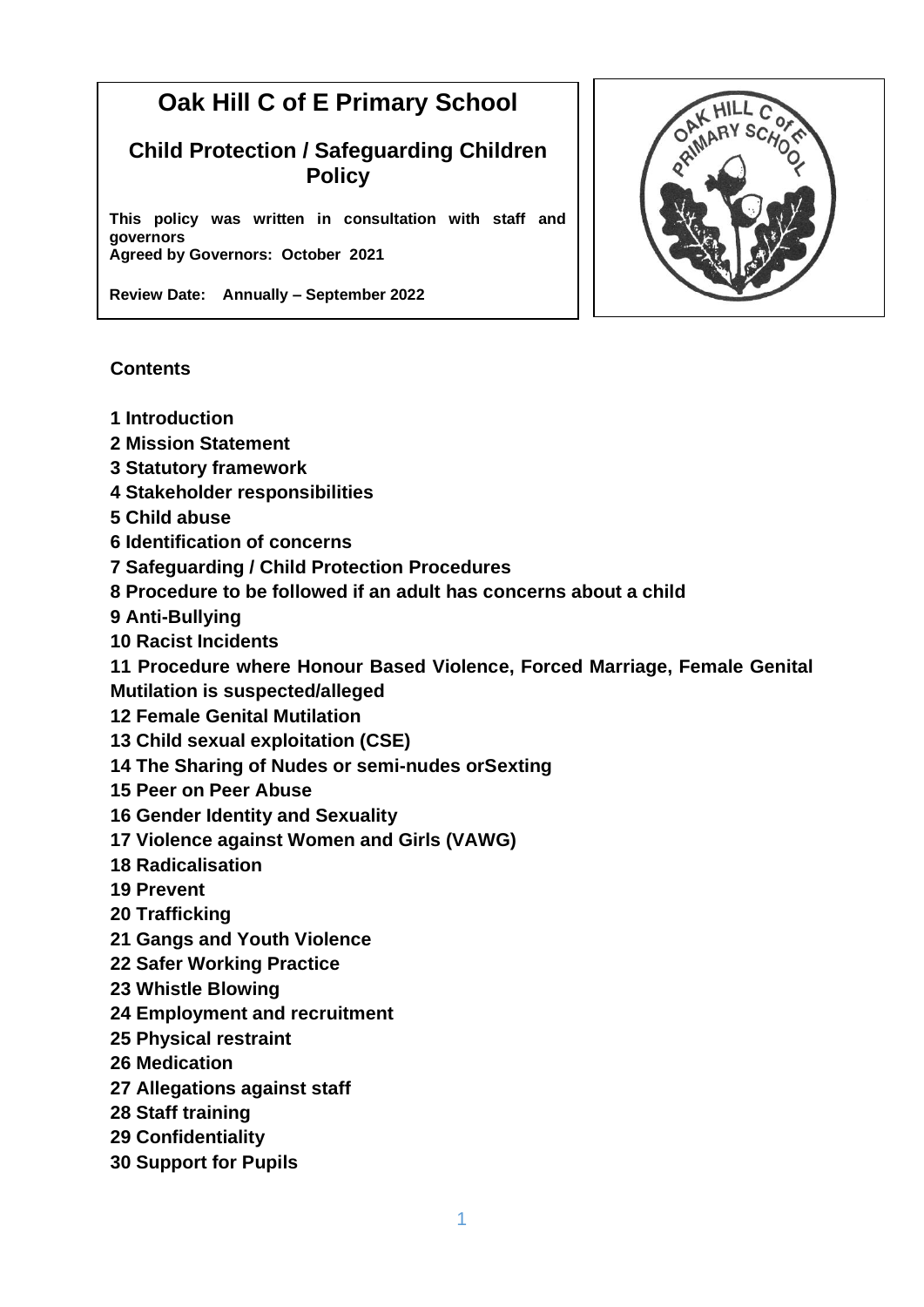# **Oak Hill C of E Primary School**

# **Child Protection / Safeguarding Children Policy**

**This policy was written in consultation with staff and governors Agreed by Governors: October 2021**

**Review Date: Annually – September 2022**

#### **Contents**

- **1 Introduction**
- **2 Mission Statement**
- **3 Statutory framework**
- **4 Stakeholder responsibilities**
- **5 Child abuse**
- **6 Identification of concerns**
- **7 Safeguarding / Child Protection Procedures**
- **8 Procedure to be followed if an adult has concerns about a child**
- **9 Anti-Bullying**
- **10 Racist Incidents**
- **11 Procedure where Honour Based Violence, Forced Marriage, Female Genital**
- **Mutilation is suspected/alleged**
- **12 Female Genital Mutilation**
- **13 Child sexual exploitation (CSE)**
- **14 The Sharing of Nudes or semi-nudes orSexting**
- **15 Peer on Peer Abuse**
- **16 Gender Identity and Sexuality**
- **17 Violence against Women and Girls (VAWG)**
- **18 Radicalisation**
- **19 Prevent**
- **20 Trafficking**
- **21 Gangs and Youth Violence**
- **22 Safer Working Practice**
- **23 Whistle Blowing**
- **24 Employment and recruitment**
- **25 Physical restraint**
- **26 Medication**
- **27 Allegations against staff**
- **28 Staff training**
- **29 Confidentiality**
- **30 Support for Pupils**

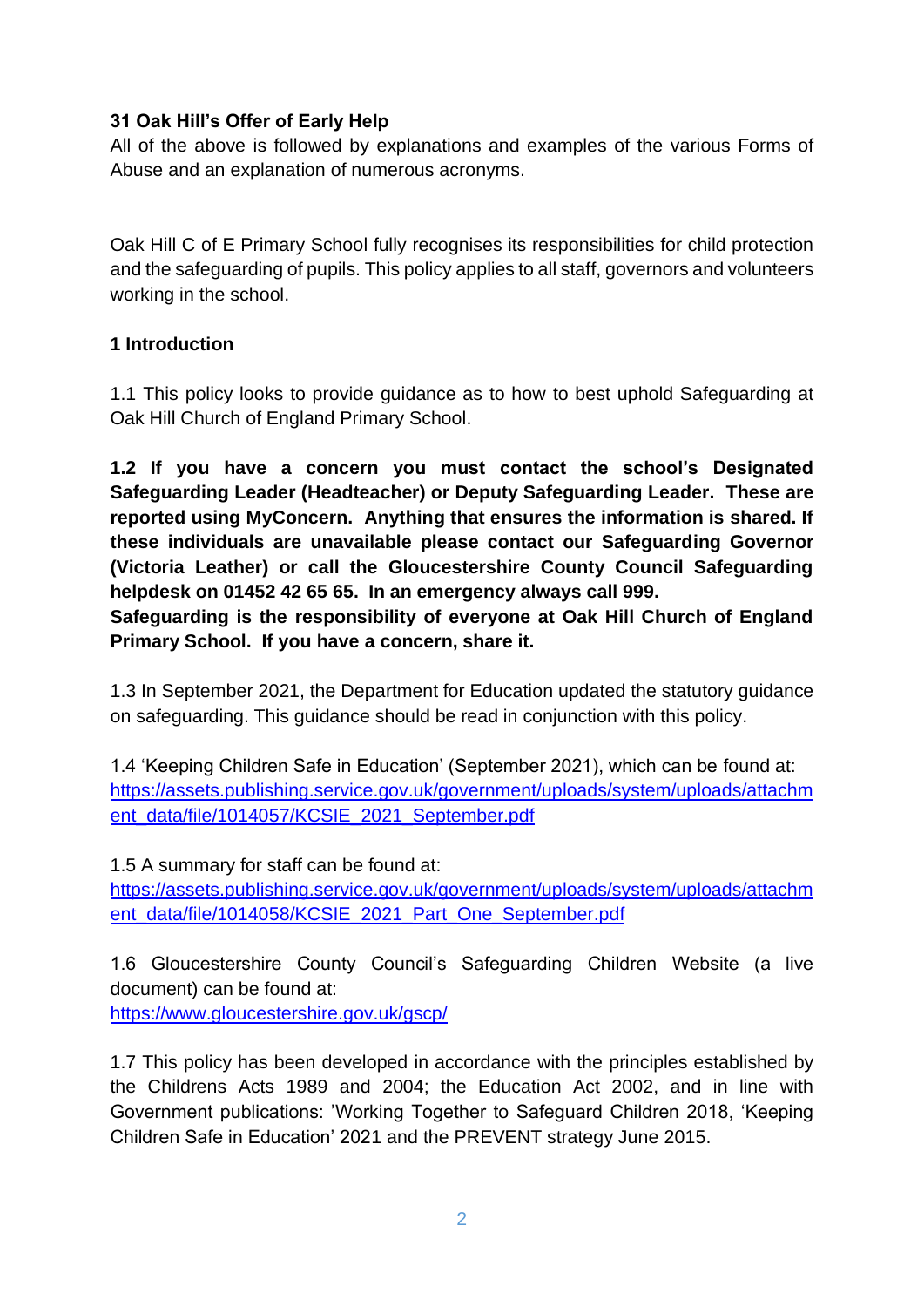#### **31 Oak Hill's Offer of Early Help**

All of the above is followed by explanations and examples of the various Forms of Abuse and an explanation of numerous acronyms.

Oak Hill C of E Primary School fully recognises its responsibilities for child protection and the safeguarding of pupils. This policy applies to all staff, governors and volunteers working in the school.

#### **1 Introduction**

1.1 This policy looks to provide guidance as to how to best uphold Safeguarding at Oak Hill Church of England Primary School.

**1.2 If you have a concern you must contact the school's Designated Safeguarding Leader (Headteacher) or Deputy Safeguarding Leader. These are reported using MyConcern. Anything that ensures the information is shared. If these individuals are unavailable please contact our Safeguarding Governor (Victoria Leather) or call the Gloucestershire County Council Safeguarding helpdesk on 01452 42 65 65. In an emergency always call 999.**

**Safeguarding is the responsibility of everyone at Oak Hill Church of England Primary School. If you have a concern, share it.**

1.3 In September 2021, the Department for Education updated the statutory guidance on safeguarding. This guidance should be read in conjunction with this policy.

1.4 'Keeping Children Safe in Education' (September 2021), which can be found at: [https://assets.publishing.service.gov.uk/government/uploads/system/uploads/attachm](https://assets.publishing.service.gov.uk/government/uploads/system/uploads/attachment_data/file/1014057/KCSIE_2021_September.pdf) [ent\\_data/file/1014057/KCSIE\\_2021\\_September.pdf](https://assets.publishing.service.gov.uk/government/uploads/system/uploads/attachment_data/file/1014057/KCSIE_2021_September.pdf)

1.5 A summary for staff can be found at:

[https://assets.publishing.service.gov.uk/government/uploads/system/uploads/attachm](https://assets.publishing.service.gov.uk/government/uploads/system/uploads/attachment_data/file/1014058/KCSIE_2021_Part_One_September.pdf) [ent\\_data/file/1014058/KCSIE\\_2021\\_Part\\_One\\_September.pdf](https://assets.publishing.service.gov.uk/government/uploads/system/uploads/attachment_data/file/1014058/KCSIE_2021_Part_One_September.pdf)

1.6 Gloucestershire County Council's Safeguarding Children Website (a live document) can be found at:

<https://www.gloucestershire.gov.uk/gscp/>

1.7 This policy has been developed in accordance with the principles established by the Childrens Acts 1989 and 2004; the Education Act 2002, and in line with Government publications: 'Working Together to Safeguard Children 2018, 'Keeping Children Safe in Education' 2021 and the PREVENT strategy June 2015.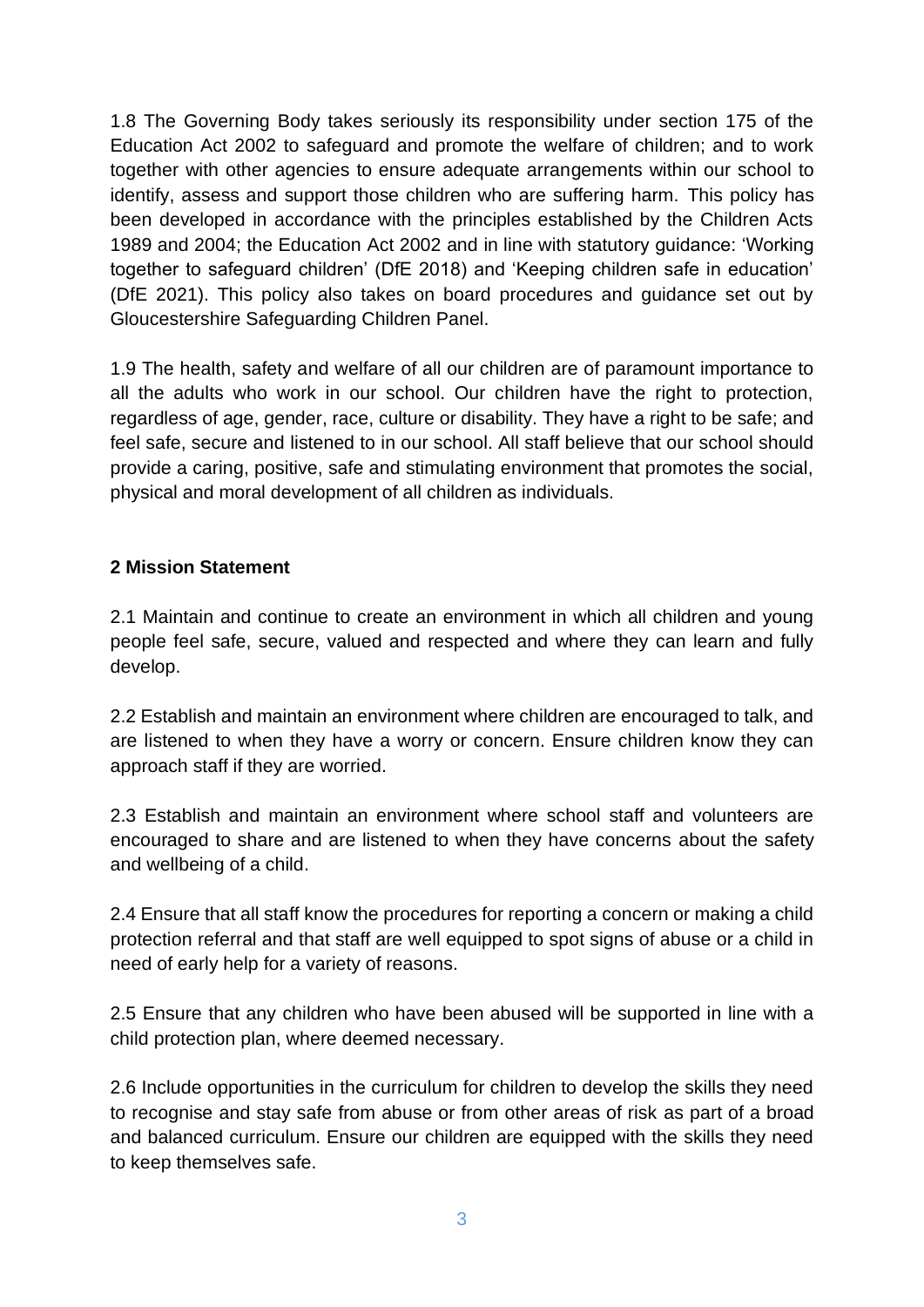1.8 The Governing Body takes seriously its responsibility under section 175 of the Education Act 2002 to safeguard and promote the welfare of children; and to work together with other agencies to ensure adequate arrangements within our school to identify, assess and support those children who are suffering harm. This policy has been developed in accordance with the principles established by the Children Acts 1989 and 2004; the Education Act 2002 and in line with statutory guidance: 'Working together to safeguard children' (DfE 2018) and 'Keeping children safe in education' (DfE 2021). This policy also takes on board procedures and guidance set out by Gloucestershire Safeguarding Children Panel.

1.9 The health, safety and welfare of all our children are of paramount importance to all the adults who work in our school. Our children have the right to protection, regardless of age, gender, race, culture or disability. They have a right to be safe; and feel safe, secure and listened to in our school. All staff believe that our school should provide a caring, positive, safe and stimulating environment that promotes the social, physical and moral development of all children as individuals.

#### **2 Mission Statement**

2.1 Maintain and continue to create an environment in which all children and young people feel safe, secure, valued and respected and where they can learn and fully develop.

2.2 Establish and maintain an environment where children are encouraged to talk, and are listened to when they have a worry or concern. Ensure children know they can approach staff if they are worried.

2.3 Establish and maintain an environment where school staff and volunteers are encouraged to share and are listened to when they have concerns about the safety and wellbeing of a child.

2.4 Ensure that all staff know the procedures for reporting a concern or making a child protection referral and that staff are well equipped to spot signs of abuse or a child in need of early help for a variety of reasons.

2.5 Ensure that any children who have been abused will be supported in line with a child protection plan, where deemed necessary.

2.6 Include opportunities in the curriculum for children to develop the skills they need to recognise and stay safe from abuse or from other areas of risk as part of a broad and balanced curriculum. Ensure our children are equipped with the skills they need to keep themselves safe.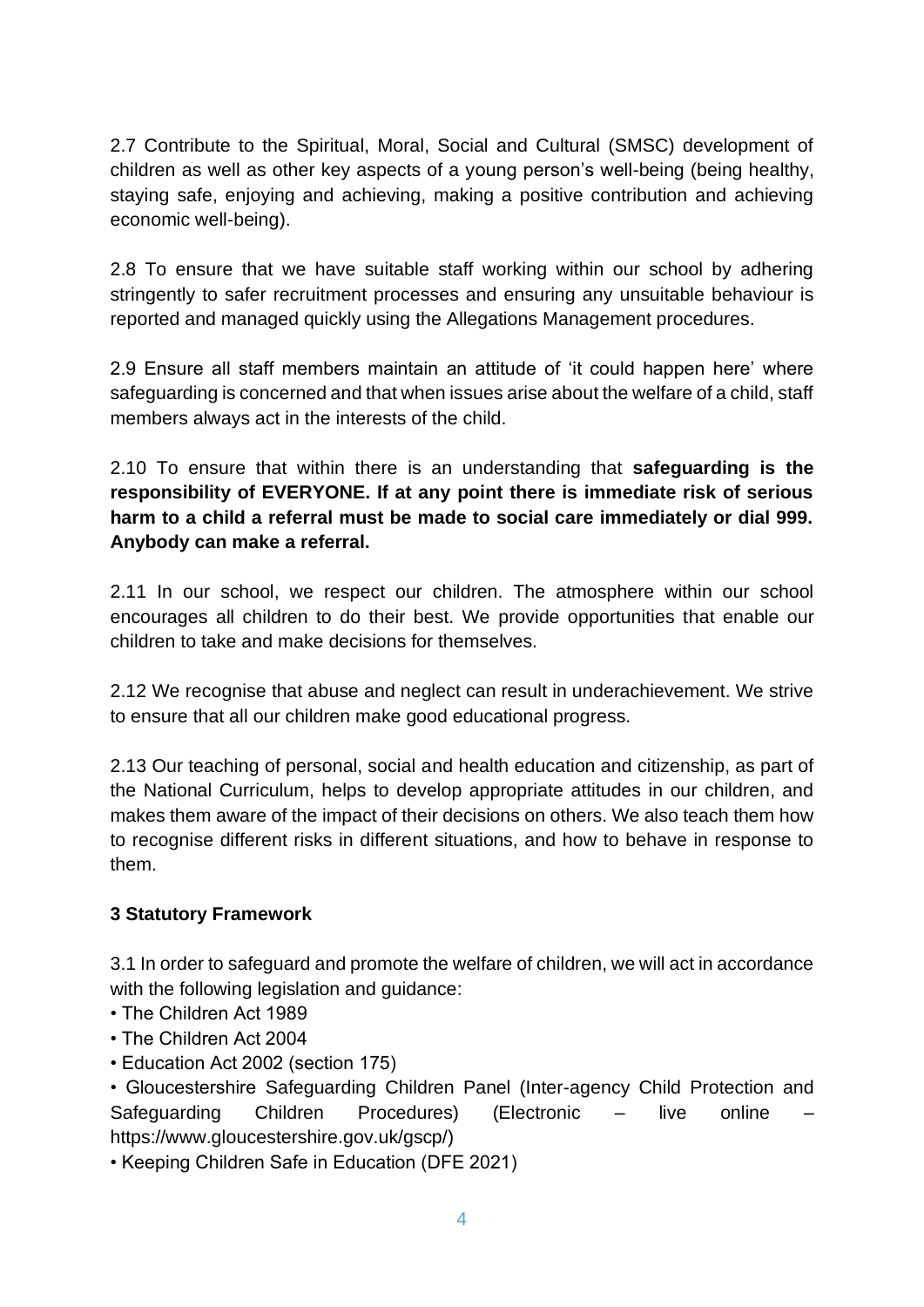2.7 Contribute to the Spiritual, Moral, Social and Cultural (SMSC) development of children as well as other key aspects of a young person's well-being (being healthy, staying safe, enjoying and achieving, making a positive contribution and achieving economic well-being).

2.8 To ensure that we have suitable staff working within our school by adhering stringently to safer recruitment processes and ensuring any unsuitable behaviour is reported and managed quickly using the Allegations Management procedures.

2.9 Ensure all staff members maintain an attitude of 'it could happen here' where safeguarding is concerned and that when issues arise about the welfare of a child, staff members always act in the interests of the child.

2.10 To ensure that within there is an understanding that **safeguarding is the responsibility of EVERYONE. If at any point there is immediate risk of serious harm to a child a referral must be made to social care immediately or dial 999. Anybody can make a referral.**

2.11 In our school, we respect our children. The atmosphere within our school encourages all children to do their best. We provide opportunities that enable our children to take and make decisions for themselves.

2.12 We recognise that abuse and neglect can result in underachievement. We strive to ensure that all our children make good educational progress.

2.13 Our teaching of personal, social and health education and citizenship, as part of the National Curriculum, helps to develop appropriate attitudes in our children, and makes them aware of the impact of their decisions on others. We also teach them how to recognise different risks in different situations, and how to behave in response to them.

#### **3 Statutory Framework**

3.1 In order to safeguard and promote the welfare of children, we will act in accordance with the following legislation and guidance:

- The Children Act 1989
- The Children Act 2004
- Education Act 2002 (section 175)

• Gloucestershire Safeguarding Children Panel (Inter-agency Child Protection and Safeguarding Children Procedures) (Electronic – live online https://www.gloucestershire.gov.uk/gscp/)

• Keeping Children Safe in Education (DFE 2021)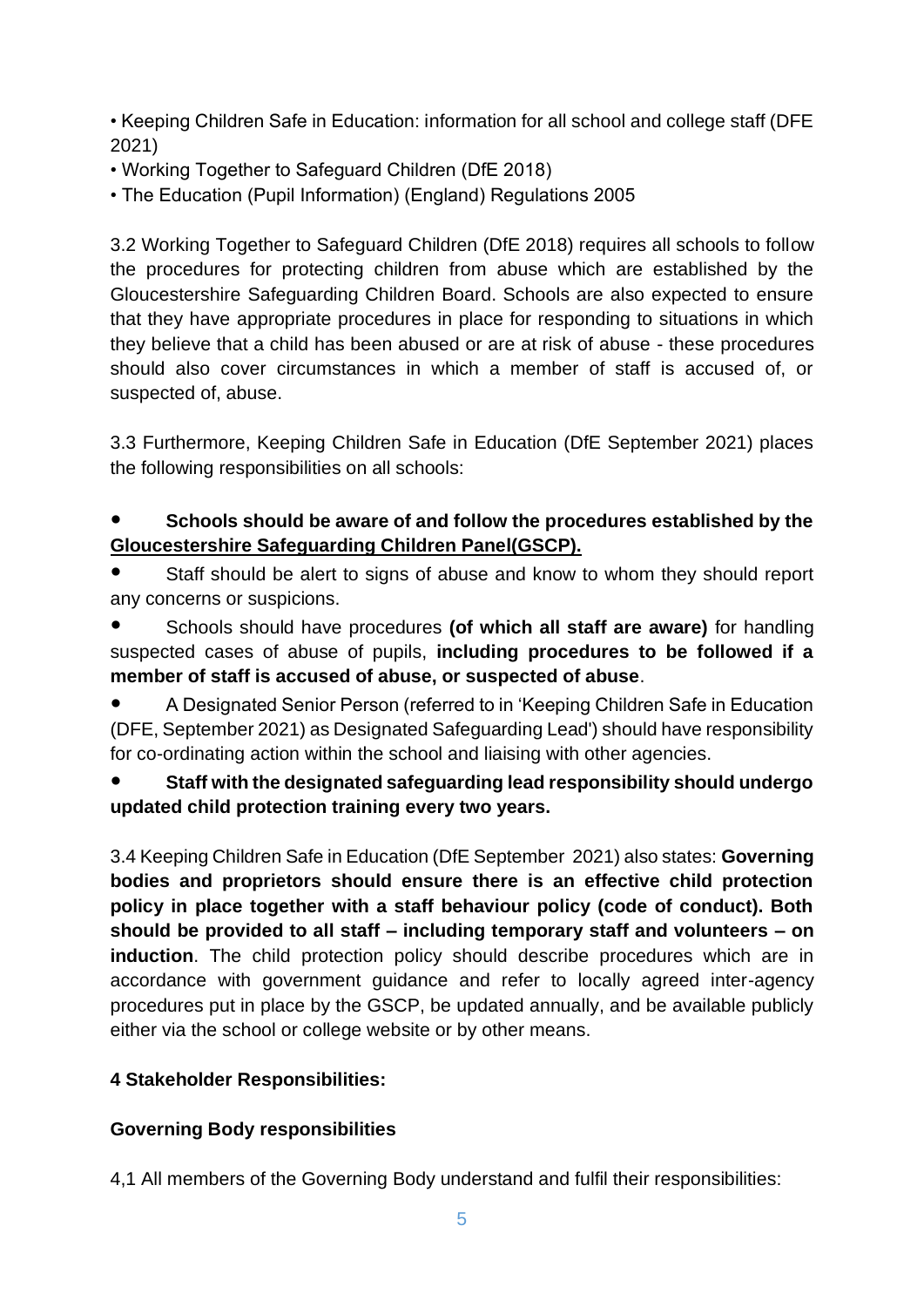• Keeping Children Safe in Education: information for all school and college staff (DFE 2021)

- Working Together to Safeguard Children (DfE 2018)
- The Education (Pupil Information) (England) Regulations 2005

3.2 Working Together to Safeguard Children (DfE 2018) requires all schools to follow the procedures for protecting children from abuse which are established by the Gloucestershire Safeguarding Children Board. Schools are also expected to ensure that they have appropriate procedures in place for responding to situations in which they believe that a child has been abused or are at risk of abuse - these procedures should also cover circumstances in which a member of staff is accused of, or suspected of, abuse.

3.3 Furthermore, Keeping Children Safe in Education (DfE September 2021) places the following responsibilities on all schools:

#### **Schools should be aware of and follow the procedures established by the Gloucestershire Safeguarding Children Panel(GSCP).**

- Staff should be alert to signs of abuse and know to whom they should report any concerns or suspicions.
- Schools should have procedures **(of which all staff are aware)** for handling suspected cases of abuse of pupils, **including procedures to be followed if a member of staff is accused of abuse, or suspected of abuse**.

A Designated Senior Person (referred to in 'Keeping Children Safe in Education (DFE, September 2021) as Designated Safeguarding Lead') should have responsibility for co-ordinating action within the school and liaising with other agencies.

### ● **Staff with the designated safeguarding lead responsibility should undergo updated child protection training every two years.**

3.4 Keeping Children Safe in Education (DfE September 2021) also states: **Governing bodies and proprietors should ensure there is an effective child protection policy in place together with a staff behaviour policy (code of conduct). Both should be provided to all staff – including temporary staff and volunteers – on induction**. The child protection policy should describe procedures which are in accordance with government guidance and refer to locally agreed inter-agency procedures put in place by the GSCP, be updated annually, and be available publicly either via the school or college website or by other means.

#### **4 Stakeholder Responsibilities:**

#### **Governing Body responsibilities**

4,1 All members of the Governing Body understand and fulfil their responsibilities: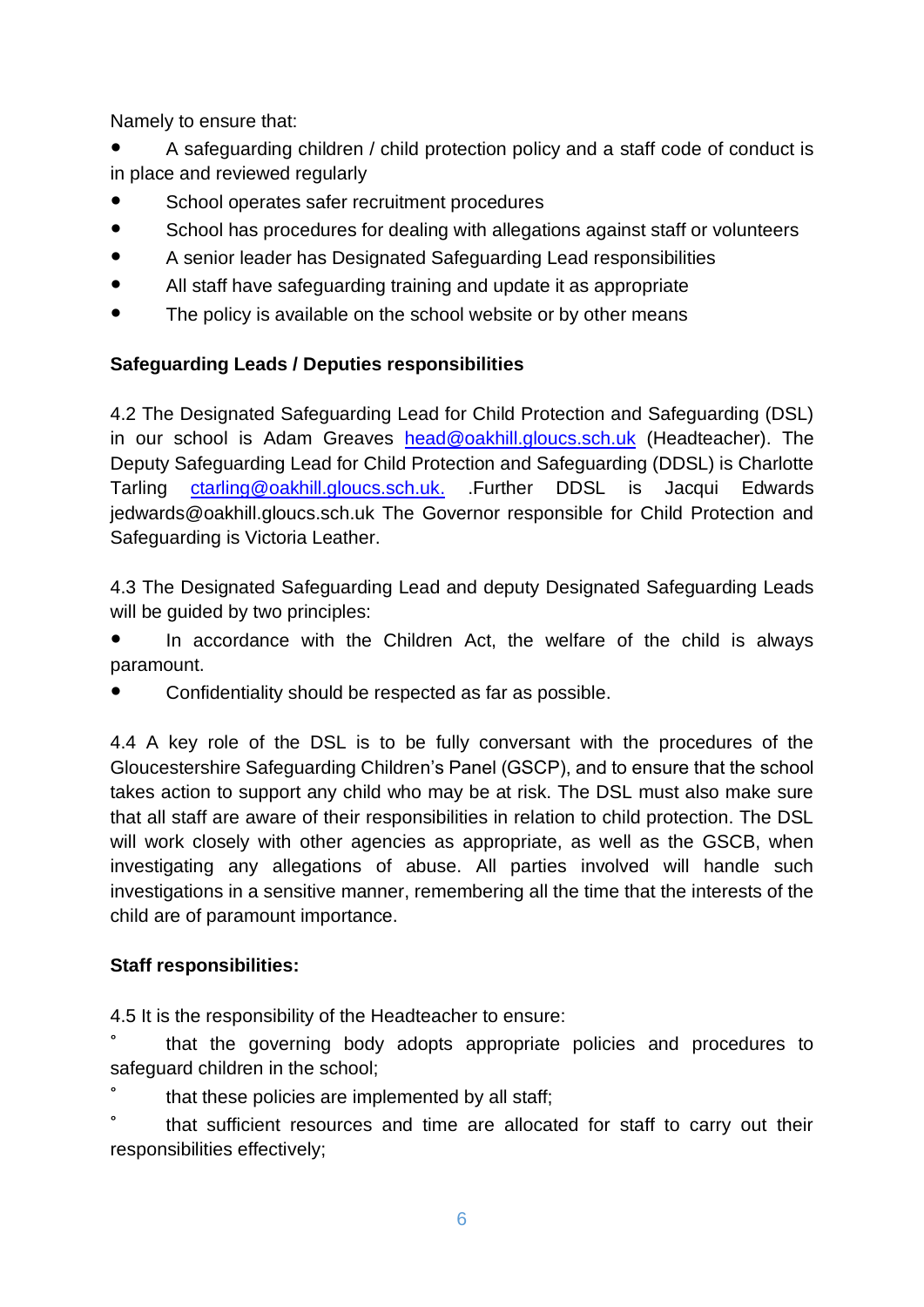Namely to ensure that:

A safeguarding children / child protection policy and a staff code of conduct is in place and reviewed regularly

- School operates safer recruitment procedures
- School has procedures for dealing with allegations against staff or volunteers
- A senior leader has Designated Safeguarding Lead responsibilities
- All staff have safeguarding training and update it as appropriate
- The policy is available on the school website or by other means

#### **Safeguarding Leads / Deputies responsibilities**

4.2 The Designated Safeguarding Lead for Child Protection and Safeguarding (DSL) in our school is Adam Greaves [head@oakhill.gloucs.sch.uk](mailto:head@oakhill.gloucs.sch.uk) (Headteacher). The Deputy Safeguarding Lead for Child Protection and Safeguarding (DDSL) is Charlotte Tarling [ctarling@oakhill.gloucs.sch.uk.](mailto:ctarling@oakhill.gloucs.sch.uk) .Further DDSL is Jacqui Edwards jedwards@oakhill.gloucs.sch.uk The Governor responsible for Child Protection and Safeguarding is Victoria Leather.

4.3 The Designated Safeguarding Lead and deputy Designated Safeguarding Leads will be guided by two principles:

In accordance with the Children Act, the welfare of the child is always paramount.

Confidentiality should be respected as far as possible.

4.4 A key role of the DSL is to be fully conversant with the procedures of the Gloucestershire Safeguarding Children's Panel (GSCP), and to ensure that the school takes action to support any child who may be at risk. The DSL must also make sure that all staff are aware of their responsibilities in relation to child protection. The DSL will work closely with other agencies as appropriate, as well as the GSCB, when investigating any allegations of abuse. All parties involved will handle such investigations in a sensitive manner, remembering all the time that the interests of the child are of paramount importance.

#### **Staff responsibilities:**

4.5 It is the responsibility of the Headteacher to ensure:

° that the governing body adopts appropriate policies and procedures to safeguard children in the school;

that these policies are implemented by all staff;

° that sufficient resources and time are allocated for staff to carry out their responsibilities effectively;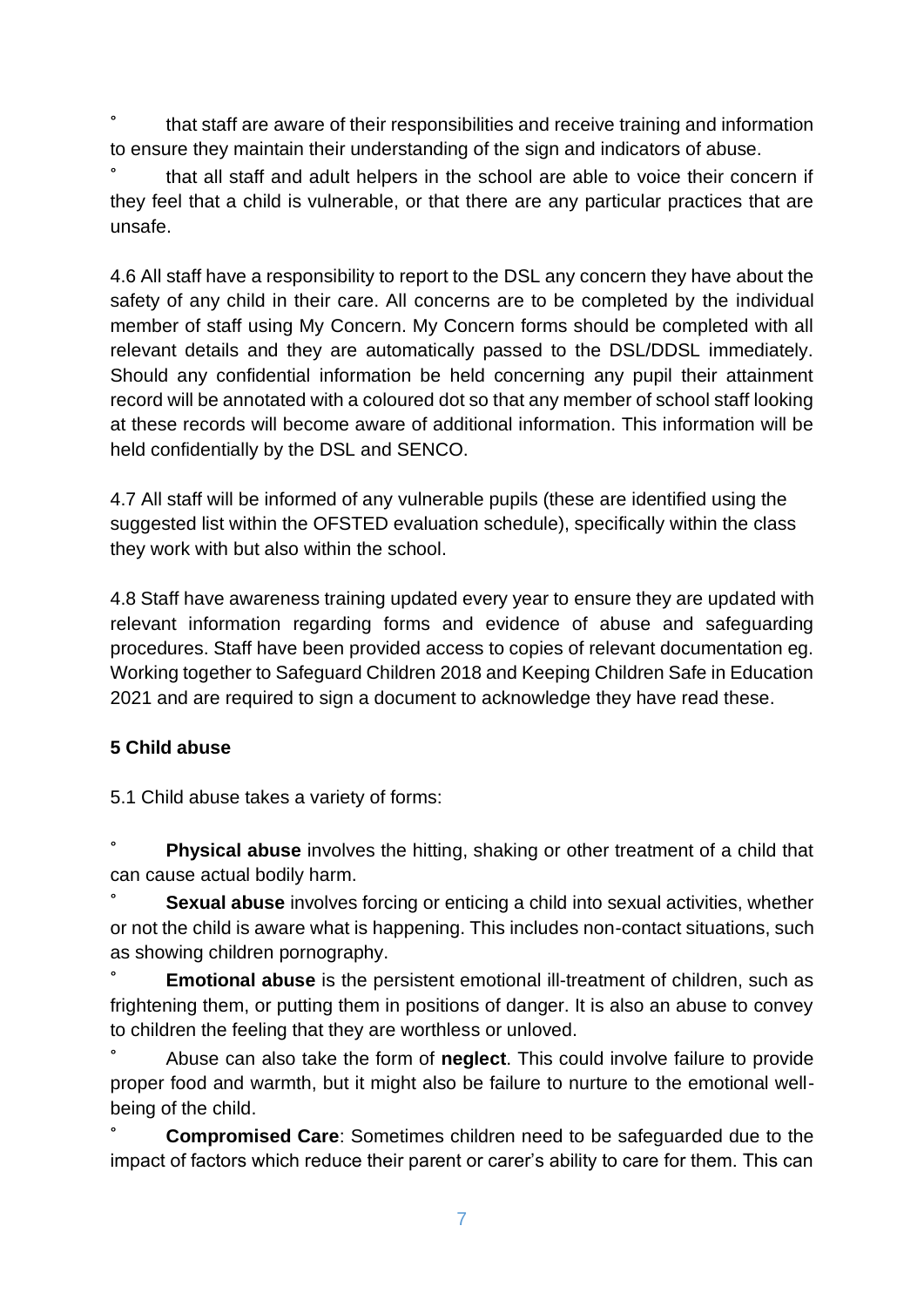° that staff are aware of their responsibilities and receive training and information to ensure they maintain their understanding of the sign and indicators of abuse.

° that all staff and adult helpers in the school are able to voice their concern if they feel that a child is vulnerable, or that there are any particular practices that are unsafe.

4.6 All staff have a responsibility to report to the DSL any concern they have about the safety of any child in their care. All concerns are to be completed by the individual member of staff using My Concern. My Concern forms should be completed with all relevant details and they are automatically passed to the DSL/DDSL immediately. Should any confidential information be held concerning any pupil their attainment record will be annotated with a coloured dot so that any member of school staff looking at these records will become aware of additional information. This information will be held confidentially by the DSL and SENCO.

4.7 All staff will be informed of any vulnerable pupils (these are identified using the suggested list within the OFSTED evaluation schedule), specifically within the class they work with but also within the school.

4.8 Staff have awareness training updated every year to ensure they are updated with relevant information regarding forms and evidence of abuse and safeguarding procedures. Staff have been provided access to copies of relevant documentation eg. Working together to Safeguard Children 2018 and Keeping Children Safe in Education 2021 and are required to sign a document to acknowledge they have read these.

#### **5 Child abuse**

5.1 Child abuse takes a variety of forms:

**Physical abuse** involves the hitting, shaking or other treatment of a child that can cause actual bodily harm.

**Sexual abuse** involves forcing or enticing a child into sexual activities, whether or not the child is aware what is happening. This includes non-contact situations, such as showing children pornography.

**Emotional abuse** is the persistent emotional ill-treatment of children, such as frightening them, or putting them in positions of danger. It is also an abuse to convey to children the feeling that they are worthless or unloved.

° Abuse can also take the form of **neglect**. This could involve failure to provide proper food and warmth, but it might also be failure to nurture to the emotional wellbeing of the child.

**Compromised Care:** Sometimes children need to be safeguarded due to the impact of factors which reduce their parent or carer's ability to care for them. This can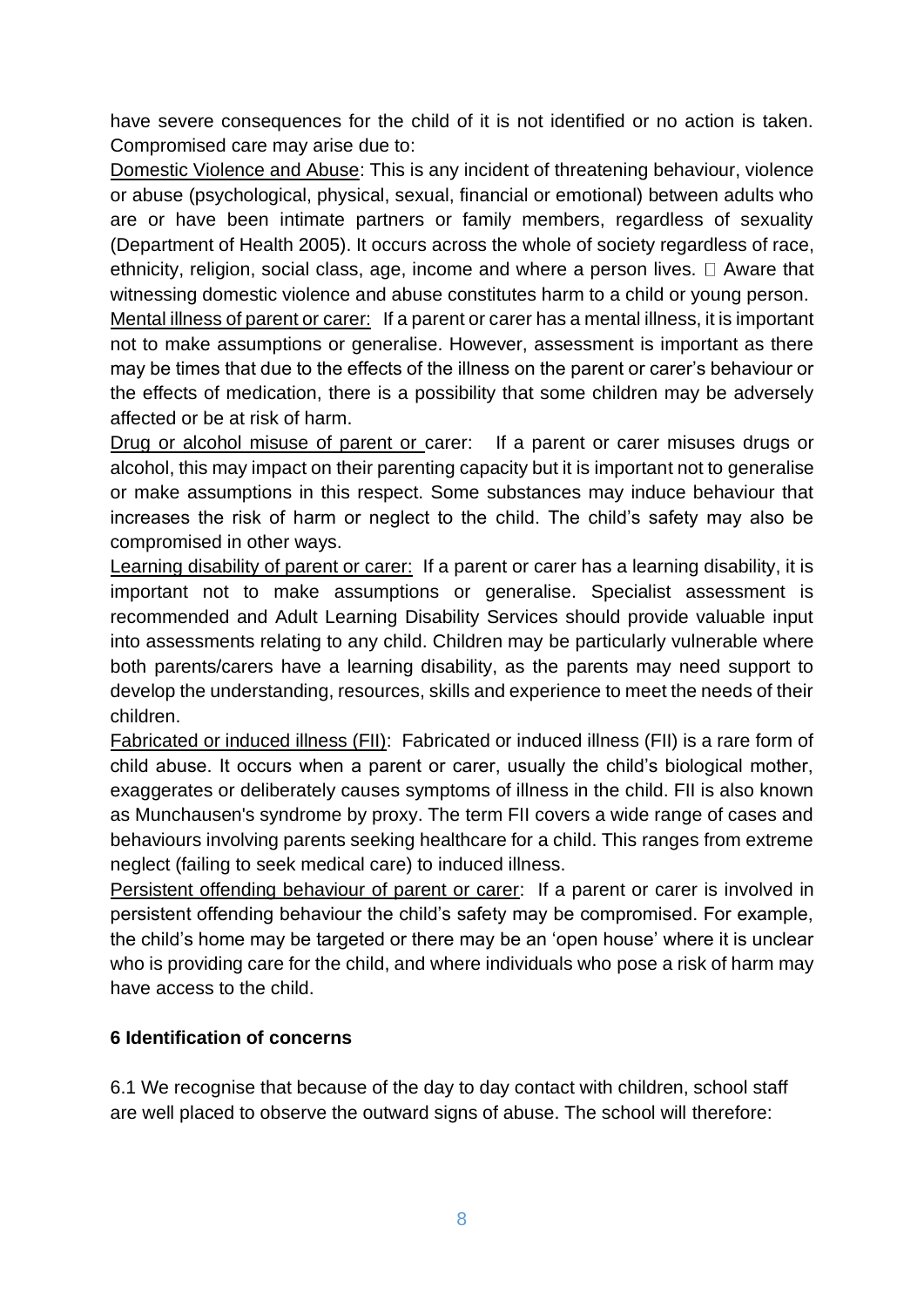have severe consequences for the child of it is not identified or no action is taken. Compromised care may arise due to:

Domestic Violence and Abuse: This is any incident of threatening behaviour, violence or abuse (psychological, physical, sexual, financial or emotional) between adults who are or have been intimate partners or family members, regardless of sexuality (Department of Health 2005). It occurs across the whole of society regardless of race, ethnicity, religion, social class, age, income and where a person lives.  $\Box$  Aware that witnessing domestic violence and abuse constitutes harm to a child or young person.

Mental illness of parent or carer: If a parent or carer has a mental illness, it is important not to make assumptions or generalise. However, assessment is important as there may be times that due to the effects of the illness on the parent or carer's behaviour or the effects of medication, there is a possibility that some children may be adversely affected or be at risk of harm.

Drug or alcohol misuse of parent or carer: If a parent or carer misuses drugs or alcohol, this may impact on their parenting capacity but it is important not to generalise or make assumptions in this respect. Some substances may induce behaviour that increases the risk of harm or neglect to the child. The child's safety may also be compromised in other ways.

Learning disability of parent or carer: If a parent or carer has a learning disability, it is important not to make assumptions or generalise. Specialist assessment is recommended and Adult Learning Disability Services should provide valuable input into assessments relating to any child. Children may be particularly vulnerable where both parents/carers have a learning disability, as the parents may need support to develop the understanding, resources, skills and experience to meet the needs of their children.

Fabricated or induced illness (FII): Fabricated or induced illness (FII) is a rare form of child abuse. It occurs when a parent or carer, usually the child's biological mother, exaggerates or deliberately causes symptoms of illness in the child. FII is also known as Munchausen's syndrome by proxy. The term FII covers a wide range of cases and behaviours involving parents seeking healthcare for a child. This ranges from extreme neglect (failing to seek medical care) to induced illness.

Persistent offending behaviour of parent or carer: If a parent or carer is involved in persistent offending behaviour the child's safety may be compromised. For example, the child's home may be targeted or there may be an 'open house' where it is unclear who is providing care for the child, and where individuals who pose a risk of harm may have access to the child.

#### **6 Identification of concerns**

6.1 We recognise that because of the day to day contact with children, school staff are well placed to observe the outward signs of abuse. The school will therefore: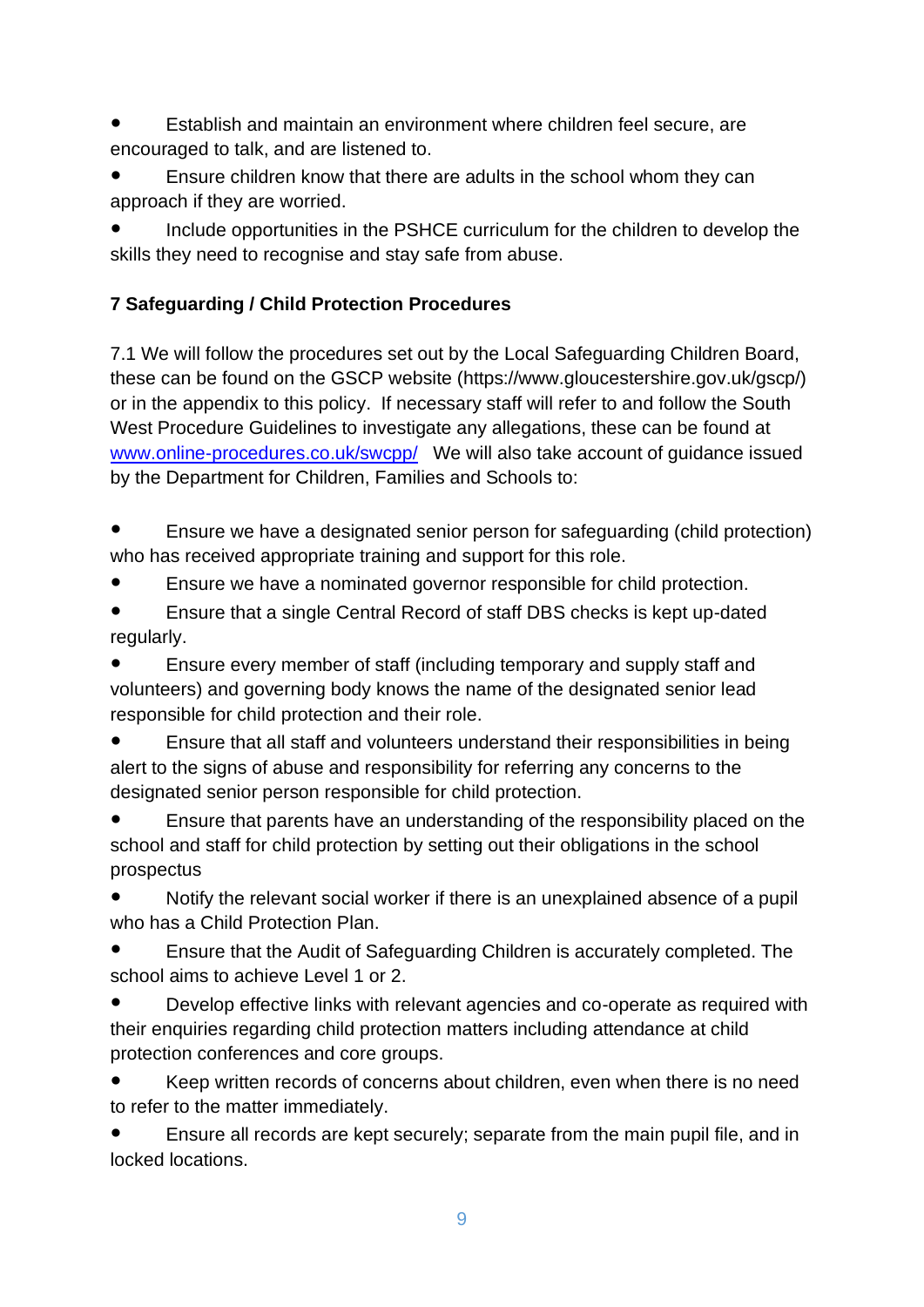- Establish and maintain an environment where children feel secure, are encouraged to talk, and are listened to.
- Ensure children know that there are adults in the school whom they can approach if they are worried.

Include opportunities in the PSHCE curriculum for the children to develop the skills they need to recognise and stay safe from abuse.

# **7 Safeguarding / Child Protection Procedures**

7.1 We will follow the procedures set out by the Local Safeguarding Children Board, these can be found on the GSCP website (https://www.gloucestershire.gov.uk/gscp/) or in the appendix to this policy. If necessary staff will refer to and follow the South West Procedure Guidelines to investigate any allegations, these can be found at [www.online-procedures.co.uk/swcpp/](http://www.online-procedures.co.uk/swcpp/) We will also take account of guidance issued by the Department for Children, Families and Schools to:

- Ensure we have a designated senior person for safeguarding (child protection) who has received appropriate training and support for this role.
- Ensure we have a nominated governor responsible for child protection.
- Ensure that a single Central Record of staff DBS checks is kept up-dated regularly.

Ensure every member of staff (including temporary and supply staff and volunteers) and governing body knows the name of the designated senior lead responsible for child protection and their role.

Ensure that all staff and volunteers understand their responsibilities in being alert to the signs of abuse and responsibility for referring any concerns to the designated senior person responsible for child protection.

Ensure that parents have an understanding of the responsibility placed on the school and staff for child protection by setting out their obligations in the school prospectus

Notify the relevant social worker if there is an unexplained absence of a pupil who has a Child Protection Plan.

Ensure that the Audit of Safeguarding Children is accurately completed. The school aims to achieve Level 1 or 2.

Develop effective links with relevant agencies and co-operate as required with their enquiries regarding child protection matters including attendance at child protection conferences and core groups.

Keep written records of concerns about children, even when there is no need to refer to the matter immediately.

Ensure all records are kept securely; separate from the main pupil file, and in locked locations.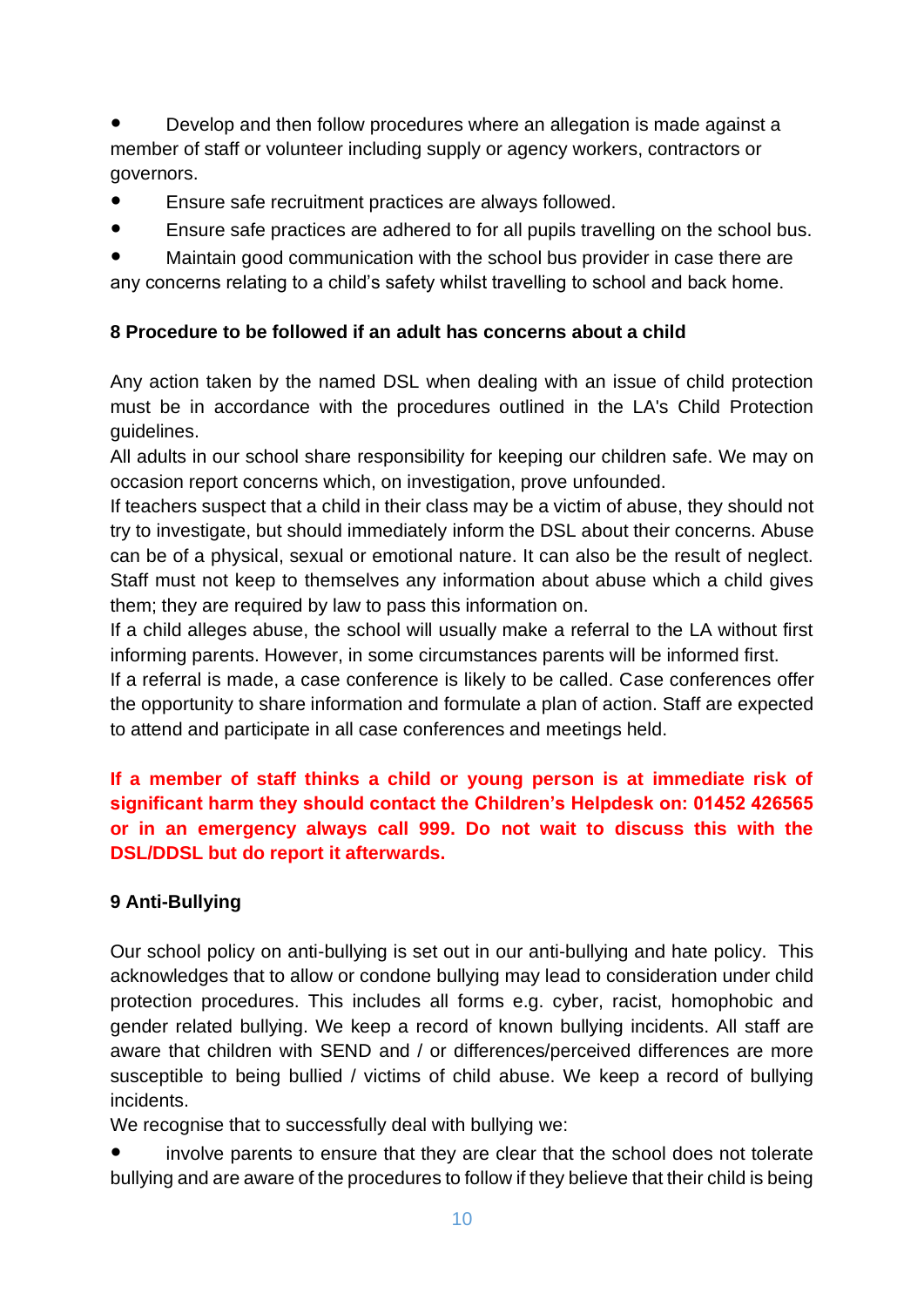Develop and then follow procedures where an allegation is made against a member of staff or volunteer including supply or agency workers, contractors or governors.

- Ensure safe recruitment practices are always followed.
- Ensure safe practices are adhered to for all pupils travelling on the school bus.

● Maintain good communication with the school bus provider in case there are any concerns relating to a child's safety whilst travelling to school and back home.

#### **8 Procedure to be followed if an adult has concerns about a child**

Any action taken by the named DSL when dealing with an issue of child protection must be in accordance with the procedures outlined in the LA's Child Protection guidelines.

All adults in our school share responsibility for keeping our children safe. We may on occasion report concerns which, on investigation, prove unfounded.

If teachers suspect that a child in their class may be a victim of abuse, they should not try to investigate, but should immediately inform the DSL about their concerns. Abuse can be of a physical, sexual or emotional nature. It can also be the result of neglect. Staff must not keep to themselves any information about abuse which a child gives them; they are required by law to pass this information on.

If a child alleges abuse, the school will usually make a referral to the LA without first informing parents. However, in some circumstances parents will be informed first.

If a referral is made, a case conference is likely to be called. Case conferences offer the opportunity to share information and formulate a plan of action. Staff are expected to attend and participate in all case conferences and meetings held.

### **If a member of staff thinks a child or young person is at immediate risk of significant harm they should contact the Children's Helpdesk on: 01452 426565 or in an emergency always call 999. Do not wait to discuss this with the DSL/DDSL but do report it afterwards.**

#### **9 Anti-Bullying**

Our school policy on anti-bullying is set out in our anti-bullying and hate policy. This acknowledges that to allow or condone bullying may lead to consideration under child protection procedures. This includes all forms e.g. cyber, racist, homophobic and gender related bullying. We keep a record of known bullying incidents. All staff are aware that children with SEND and / or differences/perceived differences are more susceptible to being bullied / victims of child abuse. We keep a record of bullying incidents.

We recognise that to successfully deal with bullying we:

involve parents to ensure that they are clear that the school does not tolerate bullying and are aware of the procedures to follow if they believe that their child is being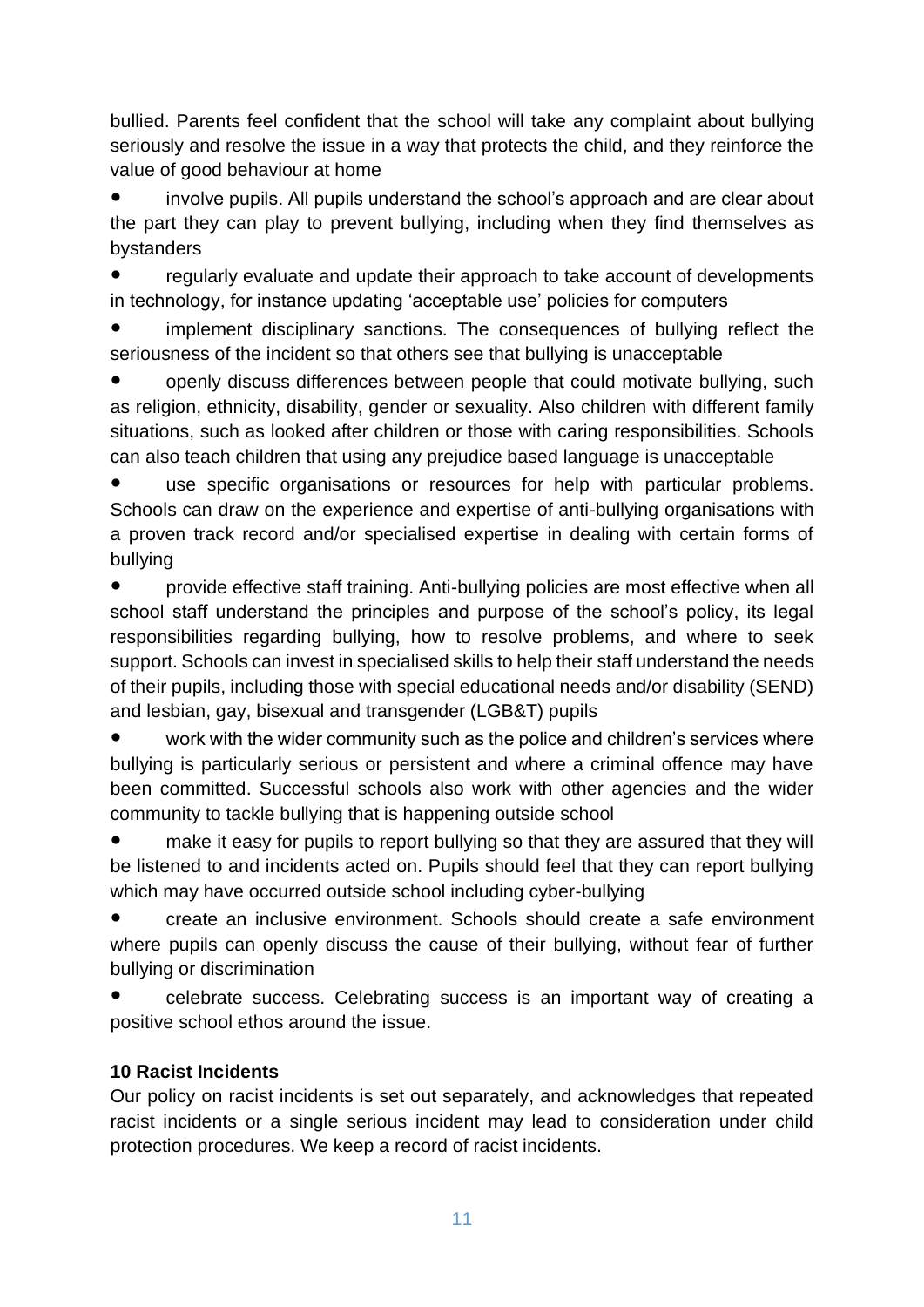bullied. Parents feel confident that the school will take any complaint about bullying seriously and resolve the issue in a way that protects the child, and they reinforce the value of good behaviour at home

involve pupils. All pupils understand the school's approach and are clear about the part they can play to prevent bullying, including when they find themselves as bystanders

regularly evaluate and update their approach to take account of developments in technology, for instance updating 'acceptable use' policies for computers

implement disciplinary sanctions. The consequences of bullying reflect the seriousness of the incident so that others see that bullying is unacceptable

openly discuss differences between people that could motivate bullying, such as religion, ethnicity, disability, gender or sexuality. Also children with different family situations, such as looked after children or those with caring responsibilities. Schools can also teach children that using any prejudice based language is unacceptable

use specific organisations or resources for help with particular problems. Schools can draw on the experience and expertise of anti-bullying organisations with a proven track record and/or specialised expertise in dealing with certain forms of bullying

● provide effective staff training. Anti-bullying policies are most effective when all school staff understand the principles and purpose of the school's policy, its legal responsibilities regarding bullying, how to resolve problems, and where to seek support. Schools can invest in specialised skills to help their staff understand the needs of their pupils, including those with special educational needs and/or disability (SEND) and lesbian, gay, bisexual and transgender (LGB&T) pupils

work with the wider community such as the police and children's services where bullying is particularly serious or persistent and where a criminal offence may have been committed. Successful schools also work with other agencies and the wider community to tackle bullying that is happening outside school

make it easy for pupils to report bullying so that they are assured that they will be listened to and incidents acted on. Pupils should feel that they can report bullying which may have occurred outside school including cyber-bullying

create an inclusive environment. Schools should create a safe environment where pupils can openly discuss the cause of their bullying, without fear of further bullying or discrimination

celebrate success. Celebrating success is an important way of creating a positive school ethos around the issue.

#### **10 Racist Incidents**

Our policy on racist incidents is set out separately, and acknowledges that repeated racist incidents or a single serious incident may lead to consideration under child protection procedures. We keep a record of racist incidents.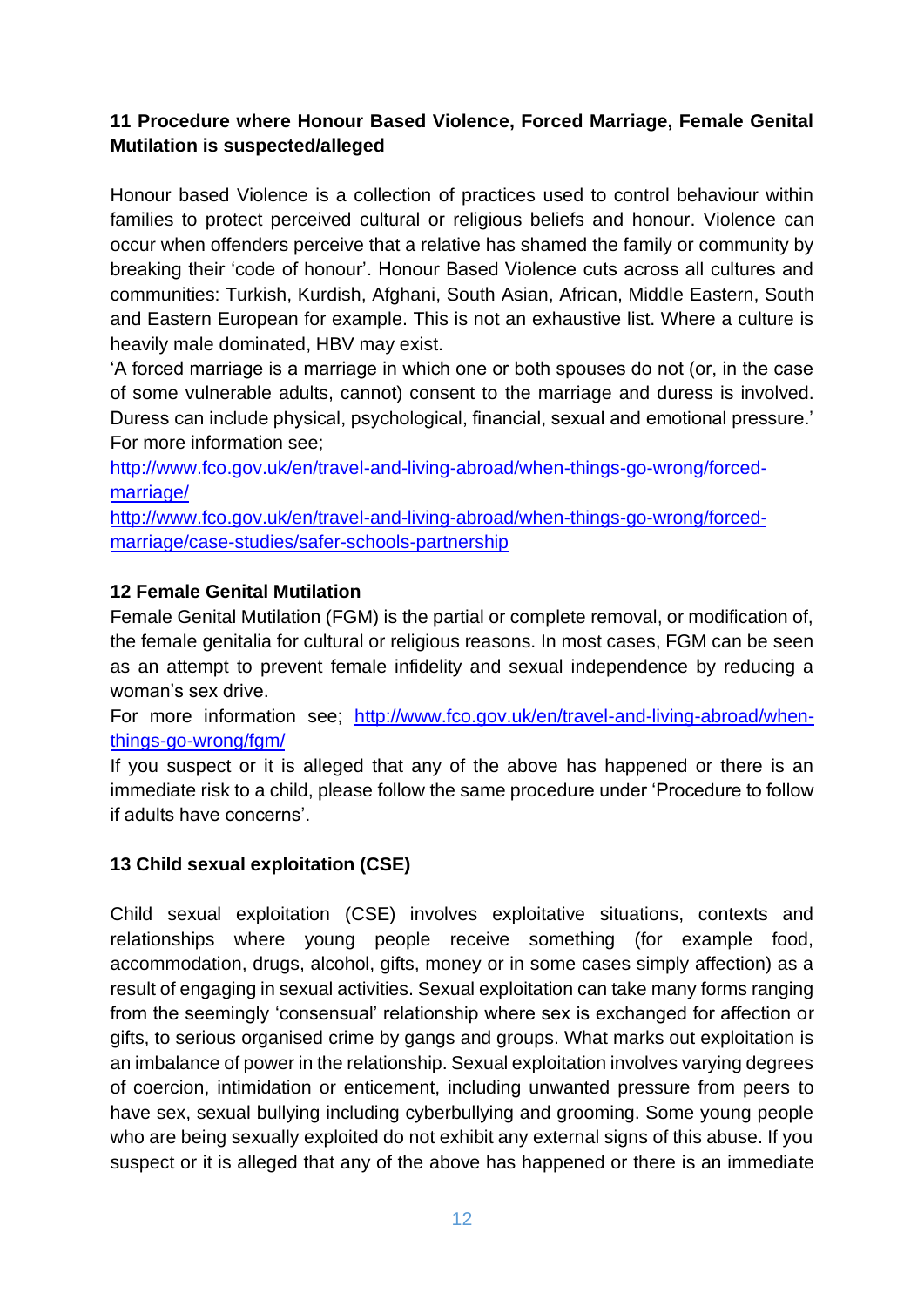#### **11 Procedure where Honour Based Violence, Forced Marriage, Female Genital Mutilation is suspected/alleged**

Honour based Violence is a collection of practices used to control behaviour within families to protect perceived cultural or religious beliefs and honour. Violence can occur when offenders perceive that a relative has shamed the family or community by breaking their 'code of honour'. Honour Based Violence cuts across all cultures and communities: Turkish, Kurdish, Afghani, South Asian, African, Middle Eastern, South and Eastern European for example. This is not an exhaustive list. Where a culture is heavily male dominated, HBV may exist.

'A forced marriage is a marriage in which one or both spouses do not (or, in the case of some vulnerable adults, cannot) consent to the marriage and duress is involved. Duress can include physical, psychological, financial, sexual and emotional pressure.' For more information see;

[http://www.fco.gov.uk/en/travel-and-living-abroad/when-things-go-wrong/forced](http://www.fco.gov.uk/en/travel-and-living-abroad/when-things-go-wrong/forced-marriage/)[marriage/](http://www.fco.gov.uk/en/travel-and-living-abroad/when-things-go-wrong/forced-marriage/)

[http://www.fco.gov.uk/en/travel-and-living-abroad/when-things-go-wrong/forced](http://www.fco.gov.uk/en/travel-and-living-abroad/when-things-go-wrong/forced-marriage/case-studies/safer-schools-partnership)[marriage/case-studies/safer-schools-partnership](http://www.fco.gov.uk/en/travel-and-living-abroad/when-things-go-wrong/forced-marriage/case-studies/safer-schools-partnership)

#### **12 Female Genital Mutilation**

Female Genital Mutilation (FGM) is the partial or complete removal, or modification of, the female genitalia for cultural or religious reasons. In most cases, FGM can be seen as an attempt to prevent female infidelity and sexual independence by reducing a woman's sex drive.

For more information see; [http://www.fco.gov.uk/en/travel-and-living-abroad/when](http://www.fco.gov.uk/en/travel-and-living-abroad/when-things-go-wrong/fgm/)[things-go-wrong/fgm/](http://www.fco.gov.uk/en/travel-and-living-abroad/when-things-go-wrong/fgm/)

If you suspect or it is alleged that any of the above has happened or there is an immediate risk to a child, please follow the same procedure under 'Procedure to follow if adults have concerns'.

#### **13 Child sexual exploitation (CSE)**

Child sexual exploitation (CSE) involves exploitative situations, contexts and relationships where young people receive something (for example food, accommodation, drugs, alcohol, gifts, money or in some cases simply affection) as a result of engaging in sexual activities. Sexual exploitation can take many forms ranging from the seemingly 'consensual' relationship where sex is exchanged for affection or gifts, to serious organised crime by gangs and groups. What marks out exploitation is an imbalance of power in the relationship. Sexual exploitation involves varying degrees of coercion, intimidation or enticement, including unwanted pressure from peers to have sex, sexual bullying including cyberbullying and grooming. Some young people who are being sexually exploited do not exhibit any external signs of this abuse. If you suspect or it is alleged that any of the above has happened or there is an immediate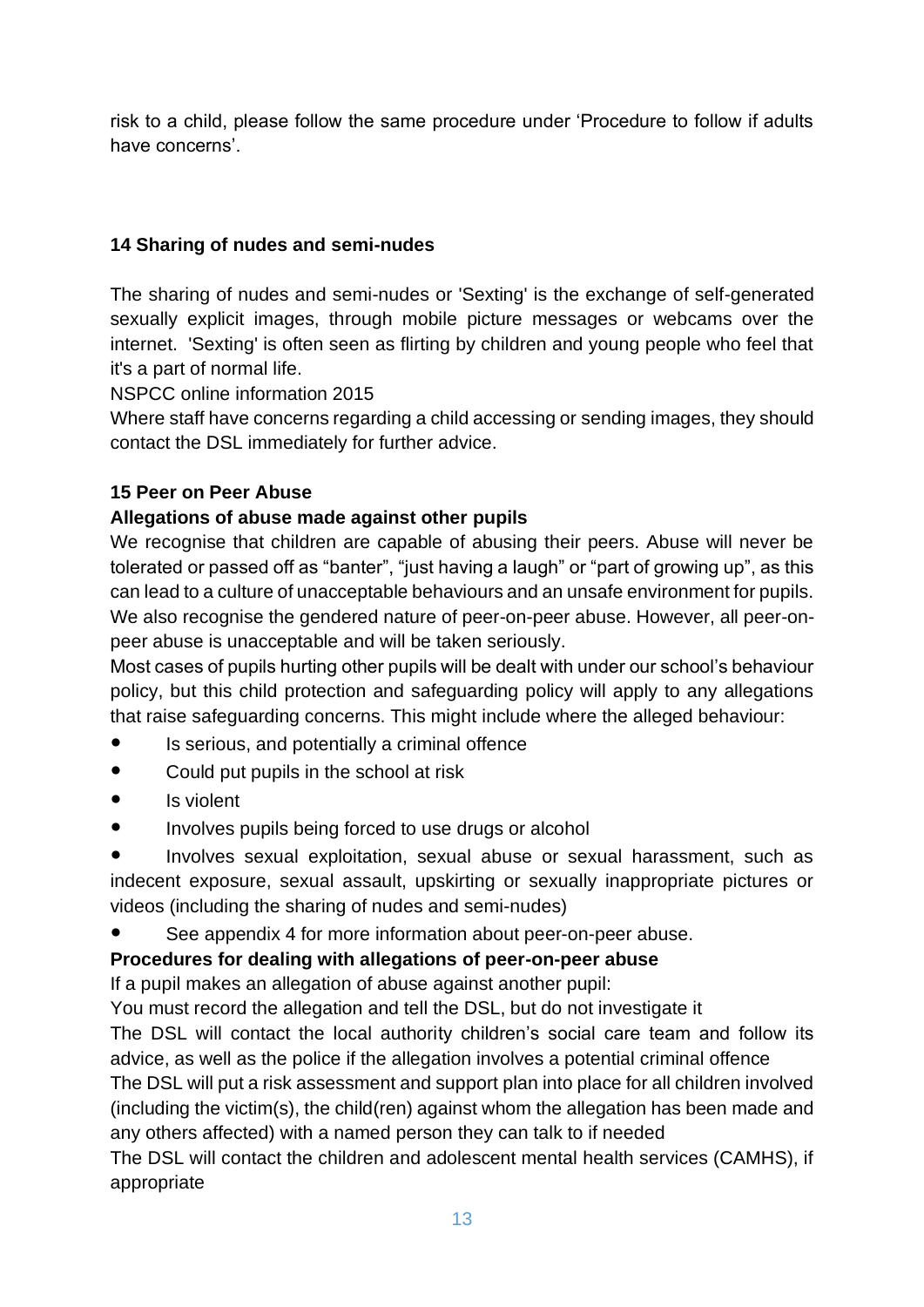risk to a child, please follow the same procedure under 'Procedure to follow if adults have concerns'.

#### **14 Sharing of nudes and semi-nudes**

The sharing of nudes and semi-nudes or 'Sexting' is the exchange of self-generated sexually explicit images, through mobile picture messages or webcams over the internet. 'Sexting' is often seen as flirting by children and young people who feel that it's a part of normal life.

NSPCC online information 2015

Where staff have concerns regarding a child accessing or sending images, they should contact the DSL immediately for further advice.

#### **15 Peer on Peer Abuse**

#### **Allegations of abuse made against other pupils**

We recognise that children are capable of abusing their peers. Abuse will never be tolerated or passed off as "banter", "just having a laugh" or "part of growing up", as this can lead to a culture of unacceptable behaviours and an unsafe environment for pupils. We also recognise the gendered nature of peer-on-peer abuse. However, all peer-onpeer abuse is unacceptable and will be taken seriously.

Most cases of pupils hurting other pupils will be dealt with under our school's behaviour policy, but this child protection and safeguarding policy will apply to any allegations that raise safeguarding concerns. This might include where the alleged behaviour:

- Is serious, and potentially a criminal offence
- Could put pupils in the school at risk
- Is violent
- Involves pupils being forced to use drugs or alcohol

Involves sexual exploitation, sexual abuse or sexual harassment, such as indecent exposure, sexual assault, upskirting or sexually inappropriate pictures or videos (including the sharing of nudes and semi-nudes)

● See appendix 4 for more information about peer-on-peer abuse.

#### **Procedures for dealing with allegations of peer-on-peer abuse**

If a pupil makes an allegation of abuse against another pupil:

You must record the allegation and tell the DSL, but do not investigate it

The DSL will contact the local authority children's social care team and follow its advice, as well as the police if the allegation involves a potential criminal offence

The DSL will put a risk assessment and support plan into place for all children involved (including the victim(s), the child(ren) against whom the allegation has been made and any others affected) with a named person they can talk to if needed

The DSL will contact the children and adolescent mental health services (CAMHS), if appropriate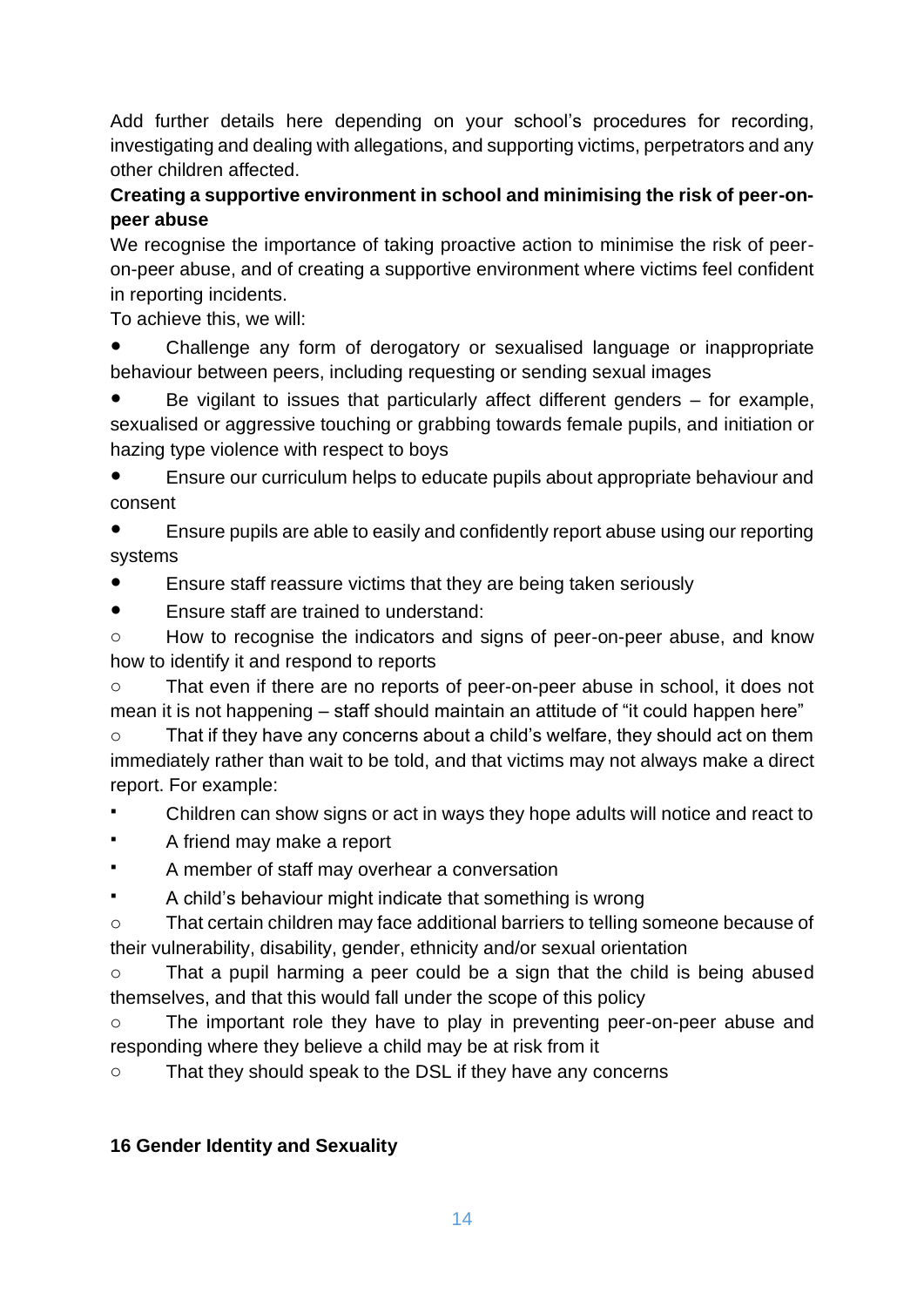Add further details here depending on your school's procedures for recording, investigating and dealing with allegations, and supporting victims, perpetrators and any other children affected.

### **Creating a supportive environment in school and minimising the risk of peer-onpeer abuse**

We recognise the importance of taking proactive action to minimise the risk of peeron-peer abuse, and of creating a supportive environment where victims feel confident in reporting incidents.

To achieve this, we will:

Challenge any form of derogatory or sexualised language or inappropriate behaviour between peers, including requesting or sending sexual images

Be vigilant to issues that particularly affect different genders  $-$  for example, sexualised or aggressive touching or grabbing towards female pupils, and initiation or hazing type violence with respect to boys

Ensure our curriculum helps to educate pupils about appropriate behaviour and consent

Ensure pupils are able to easily and confidently report abuse using our reporting systems

Ensure staff reassure victims that they are being taken seriously

● Ensure staff are trained to understand:

o How to recognise the indicators and signs of peer-on-peer abuse, and know how to identify it and respond to reports

o That even if there are no reports of peer-on-peer abuse in school, it does not mean it is not happening – staff should maintain an attitude of "it could happen here"

o That if they have any concerns about a child's welfare, they should act on them immediately rather than wait to be told, and that victims may not always make a direct report. For example:

- Children can show signs or act in ways they hope adults will notice and react to
- A friend may make a report
- A member of staff may overhear a conversation
- A child's behaviour might indicate that something is wrong

o That certain children may face additional barriers to telling someone because of their vulnerability, disability, gender, ethnicity and/or sexual orientation

o That a pupil harming a peer could be a sign that the child is being abused themselves, and that this would fall under the scope of this policy

o The important role they have to play in preventing peer-on-peer abuse and responding where they believe a child may be at risk from it

o That they should speak to the DSL if they have any concerns

#### **16 Gender Identity and Sexuality**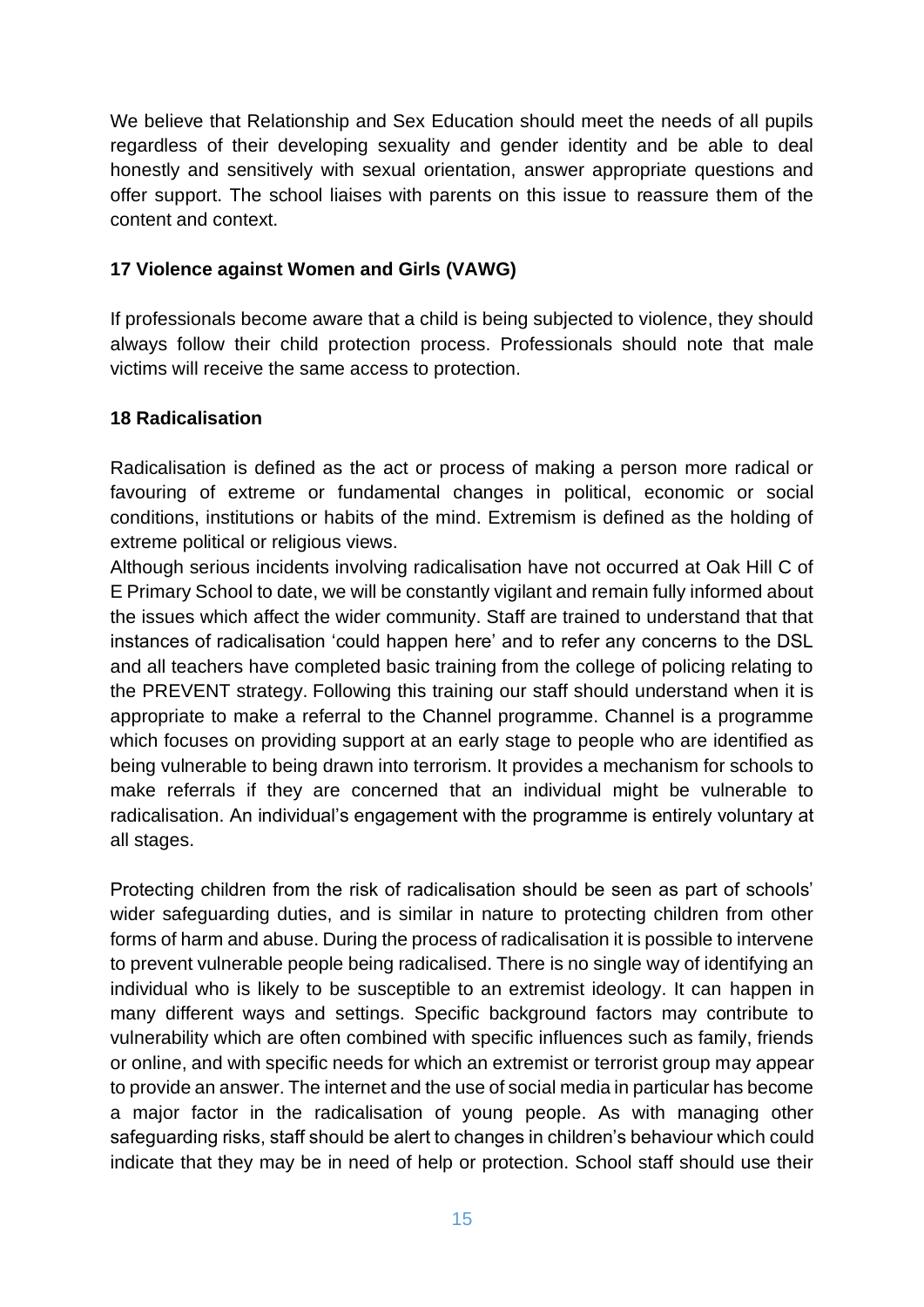We believe that Relationship and Sex Education should meet the needs of all pupils regardless of their developing sexuality and gender identity and be able to deal honestly and sensitively with sexual orientation, answer appropriate questions and offer support. The school liaises with parents on this issue to reassure them of the content and context.

#### **17 Violence against Women and Girls (VAWG)**

If professionals become aware that a child is being subjected to violence, they should always follow their child protection process. Professionals should note that male victims will receive the same access to protection.

#### **18 Radicalisation**

Radicalisation is defined as the act or process of making a person more radical or favouring of extreme or fundamental changes in political, economic or social conditions, institutions or habits of the mind. Extremism is defined as the holding of extreme political or religious views.

Although serious incidents involving radicalisation have not occurred at Oak Hill C of E Primary School to date, we will be constantly vigilant and remain fully informed about the issues which affect the wider community. Staff are trained to understand that that instances of radicalisation 'could happen here' and to refer any concerns to the DSL and all teachers have completed basic training from the college of policing relating to the PREVENT strategy. Following this training our staff should understand when it is appropriate to make a referral to the Channel programme. Channel is a programme which focuses on providing support at an early stage to people who are identified as being vulnerable to being drawn into terrorism. It provides a mechanism for schools to make referrals if they are concerned that an individual might be vulnerable to radicalisation. An individual's engagement with the programme is entirely voluntary at all stages.

Protecting children from the risk of radicalisation should be seen as part of schools' wider safeguarding duties, and is similar in nature to protecting children from other forms of harm and abuse. During the process of radicalisation it is possible to intervene to prevent vulnerable people being radicalised. There is no single way of identifying an individual who is likely to be susceptible to an extremist ideology. It can happen in many different ways and settings. Specific background factors may contribute to vulnerability which are often combined with specific influences such as family, friends or online, and with specific needs for which an extremist or terrorist group may appear to provide an answer. The internet and the use of social media in particular has become a major factor in the radicalisation of young people. As with managing other safeguarding risks, staff should be alert to changes in children's behaviour which could indicate that they may be in need of help or protection. School staff should use their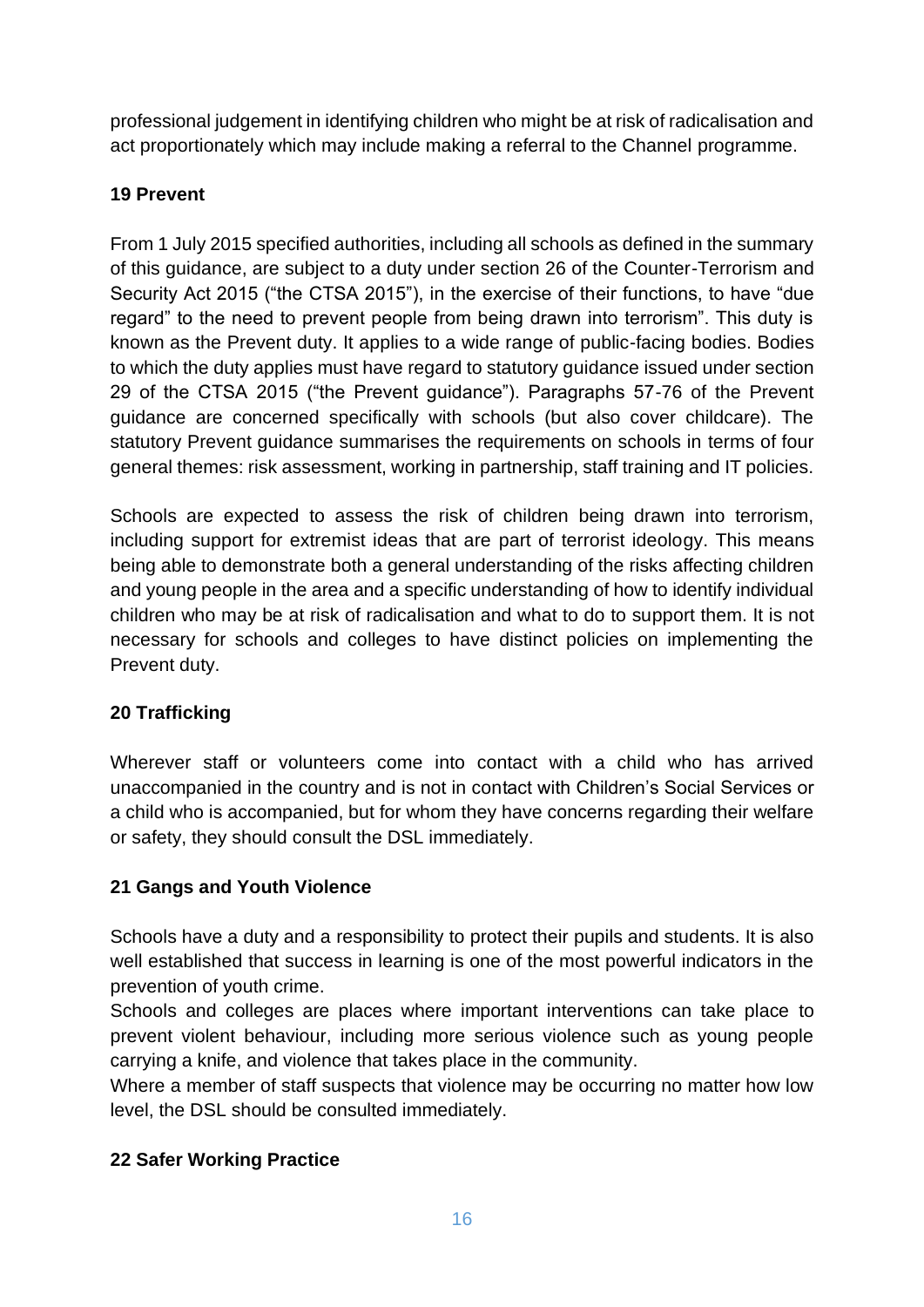professional judgement in identifying children who might be at risk of radicalisation and act proportionately which may include making a referral to the Channel programme.

# **19 Prevent**

From 1 July 2015 specified authorities, including all schools as defined in the summary of this guidance, are subject to a duty under section 26 of the Counter-Terrorism and Security Act 2015 ("the CTSA 2015"), in the exercise of their functions, to have "due regard" to the need to prevent people from being drawn into terrorism". This duty is known as the Prevent duty. It applies to a wide range of public-facing bodies. Bodies to which the duty applies must have regard to statutory guidance issued under section 29 of the CTSA 2015 ("the Prevent guidance"). Paragraphs 57-76 of the Prevent guidance are concerned specifically with schools (but also cover childcare). The statutory Prevent guidance summarises the requirements on schools in terms of four general themes: risk assessment, working in partnership, staff training and IT policies.

Schools are expected to assess the risk of children being drawn into terrorism, including support for extremist ideas that are part of terrorist ideology. This means being able to demonstrate both a general understanding of the risks affecting children and young people in the area and a specific understanding of how to identify individual children who may be at risk of radicalisation and what to do to support them. It is not necessary for schools and colleges to have distinct policies on implementing the Prevent duty.

# **20 Trafficking**

Wherever staff or volunteers come into contact with a child who has arrived unaccompanied in the country and is not in contact with Children's Social Services or a child who is accompanied, but for whom they have concerns regarding their welfare or safety, they should consult the DSL immediately.

# **21 Gangs and Youth Violence**

Schools have a duty and a responsibility to protect their pupils and students. It is also well established that success in learning is one of the most powerful indicators in the prevention of youth crime.

Schools and colleges are places where important interventions can take place to prevent violent behaviour, including more serious violence such as young people carrying a knife, and violence that takes place in the community.

Where a member of staff suspects that violence may be occurring no matter how low level, the DSL should be consulted immediately.

# **22 Safer Working Practice**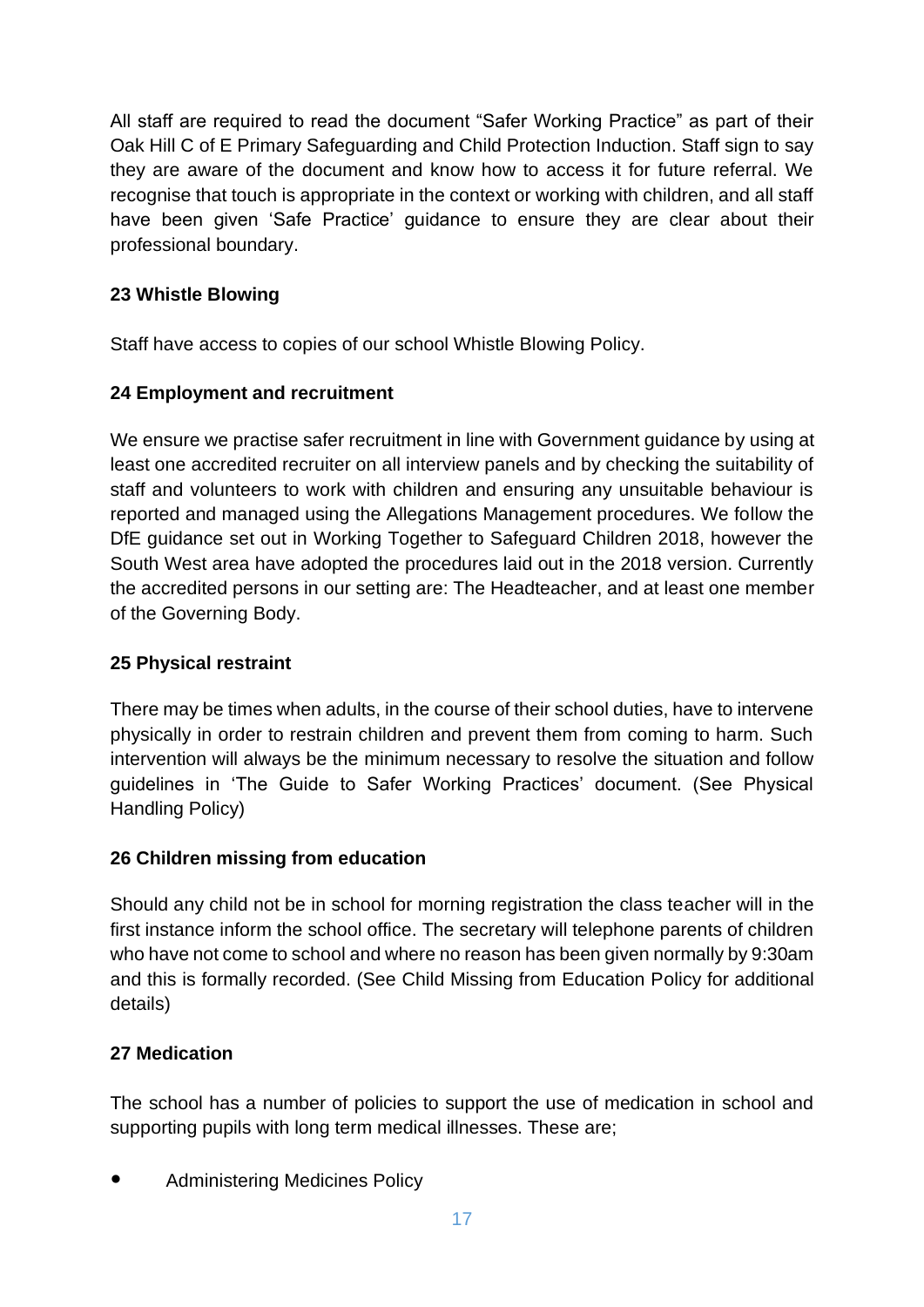All staff are required to read the document "Safer Working Practice" as part of their Oak Hill C of E Primary Safeguarding and Child Protection Induction. Staff sign to say they are aware of the document and know how to access it for future referral. We recognise that touch is appropriate in the context or working with children, and all staff have been given 'Safe Practice' guidance to ensure they are clear about their professional boundary.

#### **23 Whistle Blowing**

Staff have access to copies of our school Whistle Blowing Policy.

#### **24 Employment and recruitment**

We ensure we practise safer recruitment in line with Government guidance by using at least one accredited recruiter on all interview panels and by checking the suitability of staff and volunteers to work with children and ensuring any unsuitable behaviour is reported and managed using the Allegations Management procedures. We follow the DfE guidance set out in Working Together to Safeguard Children 2018, however the South West area have adopted the procedures laid out in the 2018 version. Currently the accredited persons in our setting are: The Headteacher, and at least one member of the Governing Body.

#### **25 Physical restraint**

There may be times when adults, in the course of their school duties, have to intervene physically in order to restrain children and prevent them from coming to harm. Such intervention will always be the minimum necessary to resolve the situation and follow guidelines in 'The Guide to Safer Working Practices' document. (See Physical Handling Policy)

#### **26 Children missing from education**

Should any child not be in school for morning registration the class teacher will in the first instance inform the school office. The secretary will telephone parents of children who have not come to school and where no reason has been given normally by 9:30am and this is formally recorded. (See Child Missing from Education Policy for additional details)

#### **27 Medication**

The school has a number of policies to support the use of medication in school and supporting pupils with long term medical illnesses. These are;

Administering Medicines Policy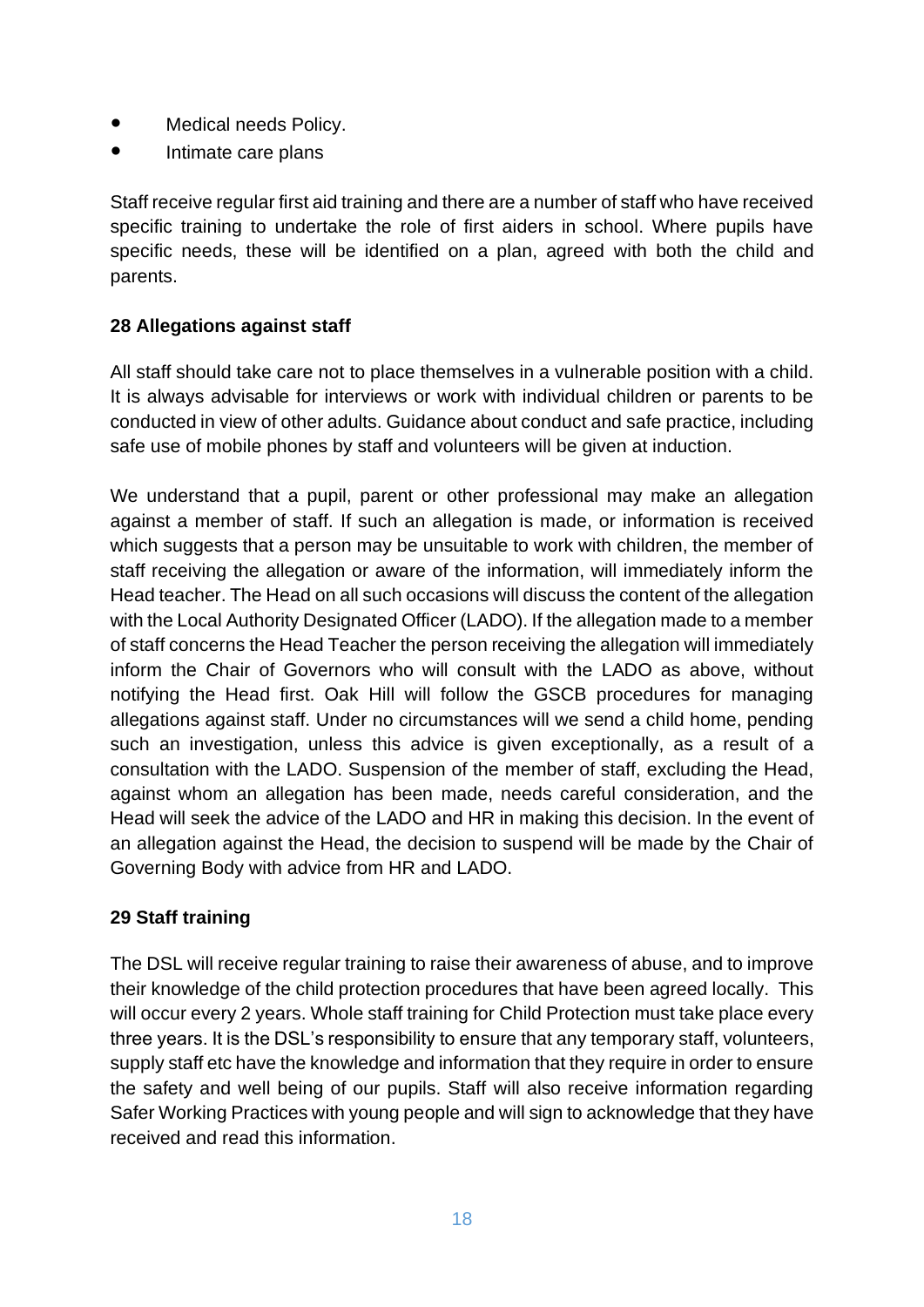- Medical needs Policy.
- Intimate care plans

Staff receive regular first aid training and there are a number of staff who have received specific training to undertake the role of first aiders in school. Where pupils have specific needs, these will be identified on a plan, agreed with both the child and parents.

#### **28 Allegations against staff**

All staff should take care not to place themselves in a vulnerable position with a child. It is always advisable for interviews or work with individual children or parents to be conducted in view of other adults. Guidance about conduct and safe practice, including safe use of mobile phones by staff and volunteers will be given at induction.

We understand that a pupil, parent or other professional may make an allegation against a member of staff. If such an allegation is made, or information is received which suggests that a person may be unsuitable to work with children, the member of staff receiving the allegation or aware of the information, will immediately inform the Head teacher. The Head on all such occasions will discuss the content of the allegation with the Local Authority Designated Officer (LADO). If the allegation made to a member of staff concerns the Head Teacher the person receiving the allegation will immediately inform the Chair of Governors who will consult with the LADO as above, without notifying the Head first. Oak Hill will follow the GSCB procedures for managing allegations against staff. Under no circumstances will we send a child home, pending such an investigation, unless this advice is given exceptionally, as a result of a consultation with the LADO. Suspension of the member of staff, excluding the Head, against whom an allegation has been made, needs careful consideration, and the Head will seek the advice of the LADO and HR in making this decision. In the event of an allegation against the Head, the decision to suspend will be made by the Chair of Governing Body with advice from HR and LADO.

#### **29 Staff training**

The DSL will receive regular training to raise their awareness of abuse, and to improve their knowledge of the child protection procedures that have been agreed locally. This will occur every 2 years. Whole staff training for Child Protection must take place every three years. It is the DSL's responsibility to ensure that any temporary staff, volunteers, supply staff etc have the knowledge and information that they require in order to ensure the safety and well being of our pupils. Staff will also receive information regarding Safer Working Practices with young people and will sign to acknowledge that they have received and read this information.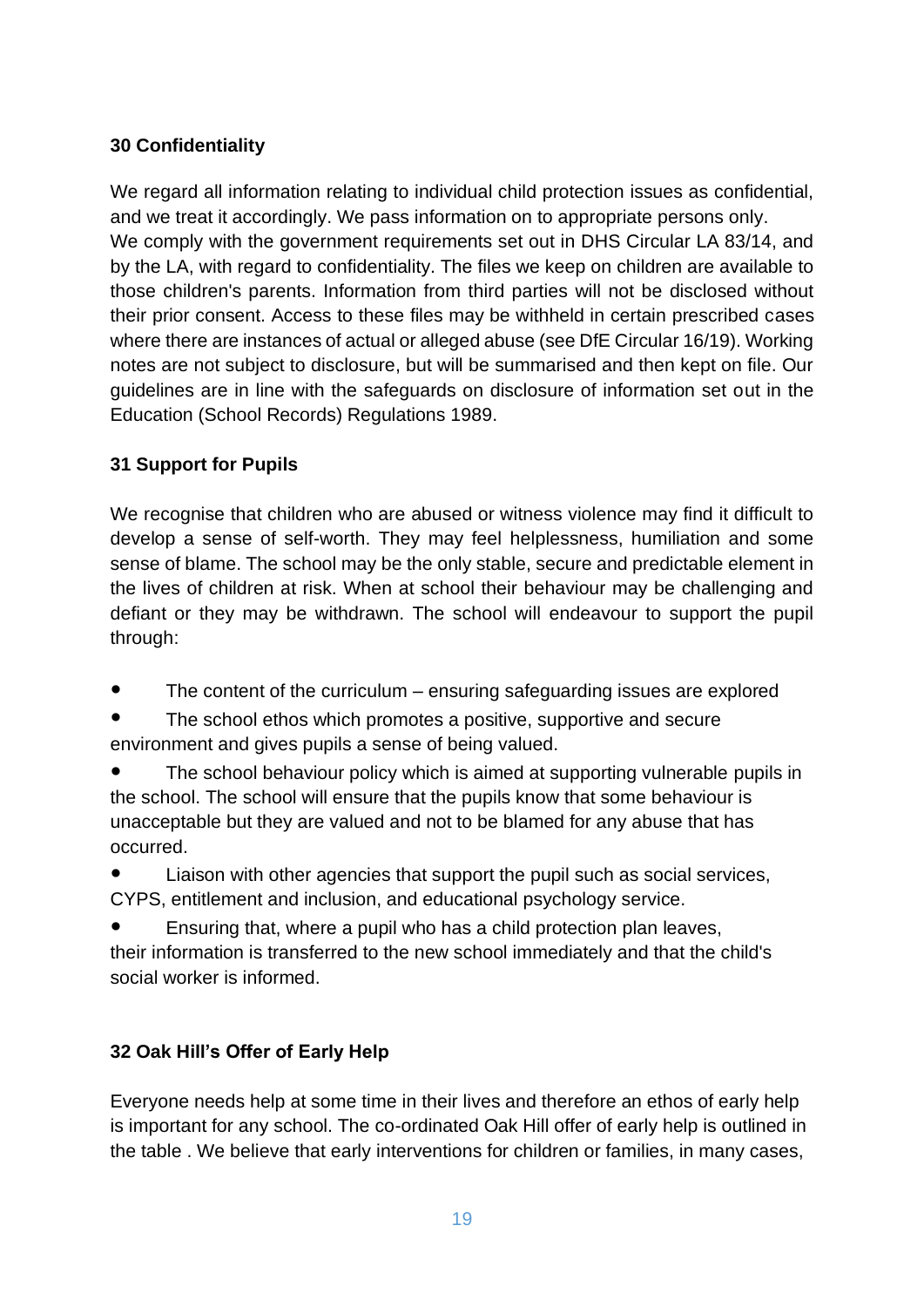### **30 Confidentiality**

We regard all information relating to individual child protection issues as confidential, and we treat it accordingly. We pass information on to appropriate persons only. We comply with the government requirements set out in DHS Circular LA 83/14, and by the LA, with regard to confidentiality. The files we keep on children are available to those children's parents. Information from third parties will not be disclosed without their prior consent. Access to these files may be withheld in certain prescribed cases where there are instances of actual or alleged abuse (see DfE Circular 16/19). Working notes are not subject to disclosure, but will be summarised and then kept on file. Our guidelines are in line with the safeguards on disclosure of information set out in the Education (School Records) Regulations 1989.

#### **31 Support for Pupils**

We recognise that children who are abused or witness violence may find it difficult to develop a sense of self-worth. They may feel helplessness, humiliation and some sense of blame. The school may be the only stable, secure and predictable element in the lives of children at risk. When at school their behaviour may be challenging and defiant or they may be withdrawn. The school will endeavour to support the pupil through:

- The content of the curriculum ensuring safeguarding issues are explored
- The school ethos which promotes a positive, supportive and secure environment and gives pupils a sense of being valued.
- The school behaviour policy which is aimed at supporting vulnerable pupils in the school. The school will ensure that the pupils know that some behaviour is unacceptable but they are valued and not to be blamed for any abuse that has occurred.
- Liaison with other agencies that support the pupil such as social services, CYPS, entitlement and inclusion, and educational psychology service.
- Ensuring that, where a pupil who has a child protection plan leaves, their information is transferred to the new school immediately and that the child's social worker is informed.

# **32 Oak Hill's Offer of Early Help**

Everyone needs help at some time in their lives and therefore an ethos of early help is important for any school. The co-ordinated Oak Hill offer of early help is outlined in the table . We believe that early interventions for children or families, in many cases,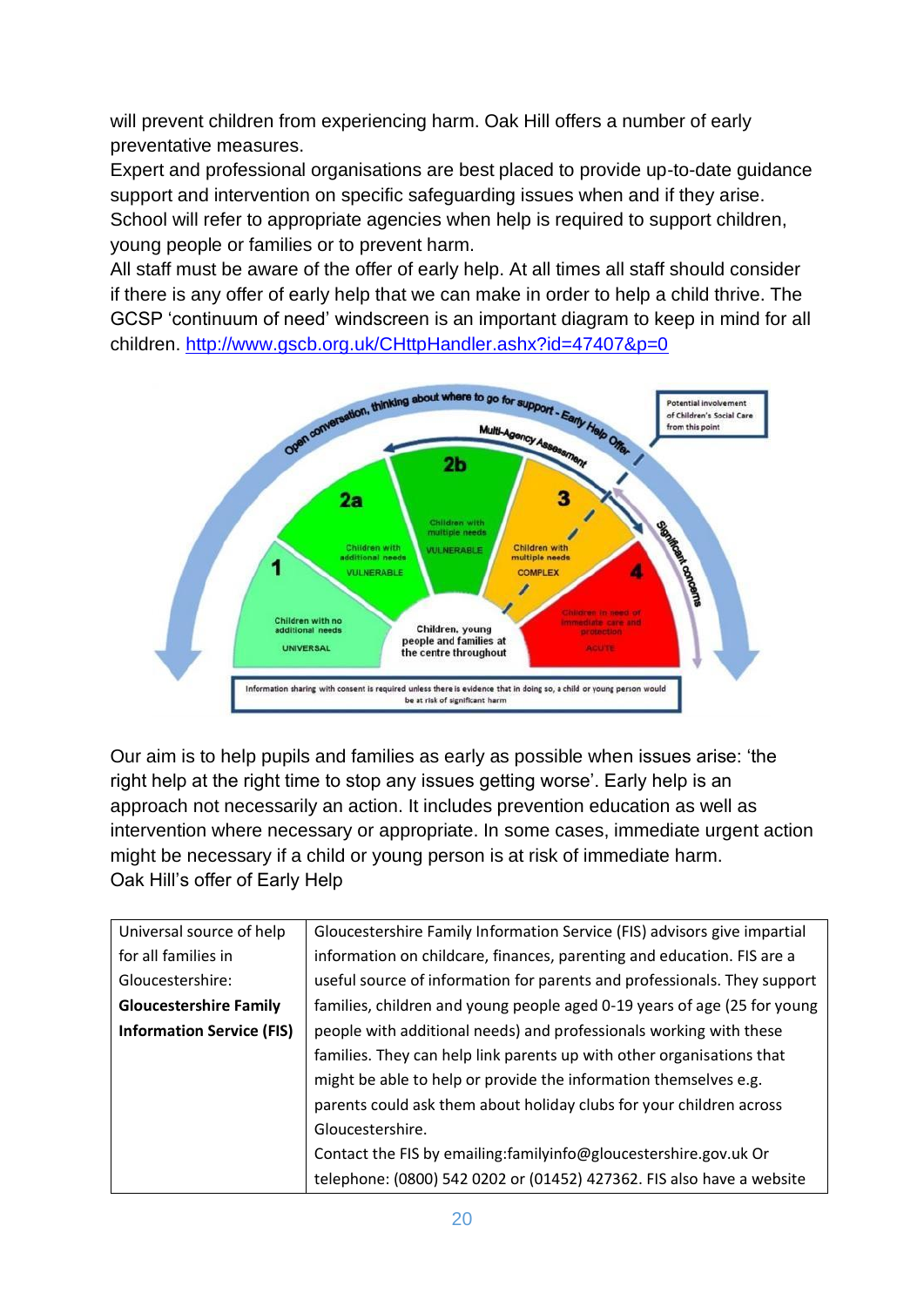will prevent children from experiencing harm. Oak Hill offers a number of early preventative measures.

Expert and professional organisations are best placed to provide up-to-date guidance support and intervention on specific safeguarding issues when and if they arise. School will refer to appropriate agencies when help is required to support children, young people or families or to prevent harm.

All staff must be aware of the offer of early help. At all times all staff should consider if there is any offer of early help that we can make in order to help a child thrive. The GCSP 'continuum of need' windscreen is an important diagram to keep in mind for all children.<http://www.gscb.org.uk/CHttpHandler.ashx?id=47407&p=0>



Our aim is to help pupils and families as early as possible when issues arise: 'the right help at the right time to stop any issues getting worse'. Early help is an approach not necessarily an action. It includes prevention education as well as intervention where necessary or appropriate. In some cases, immediate urgent action might be necessary if a child or young person is at risk of immediate harm. Oak Hill's offer of Early Help

| Universal source of help         | Gloucestershire Family Information Service (FIS) advisors give impartial |
|----------------------------------|--------------------------------------------------------------------------|
| for all families in              | information on childcare, finances, parenting and education. FIS are a   |
| Gloucestershire:                 | useful source of information for parents and professionals. They support |
| <b>Gloucestershire Family</b>    | families, children and young people aged 0-19 years of age (25 for young |
| <b>Information Service (FIS)</b> | people with additional needs) and professionals working with these       |
|                                  | families. They can help link parents up with other organisations that    |
|                                  | might be able to help or provide the information themselves e.g.         |
|                                  | parents could ask them about holiday clubs for your children across      |
|                                  | Gloucestershire.                                                         |
|                                  | Contact the FIS by emailing: family info@gloucestershire.gov.uk Or       |
|                                  | telephone: (0800) 542 0202 or (01452) 427362. FIS also have a website    |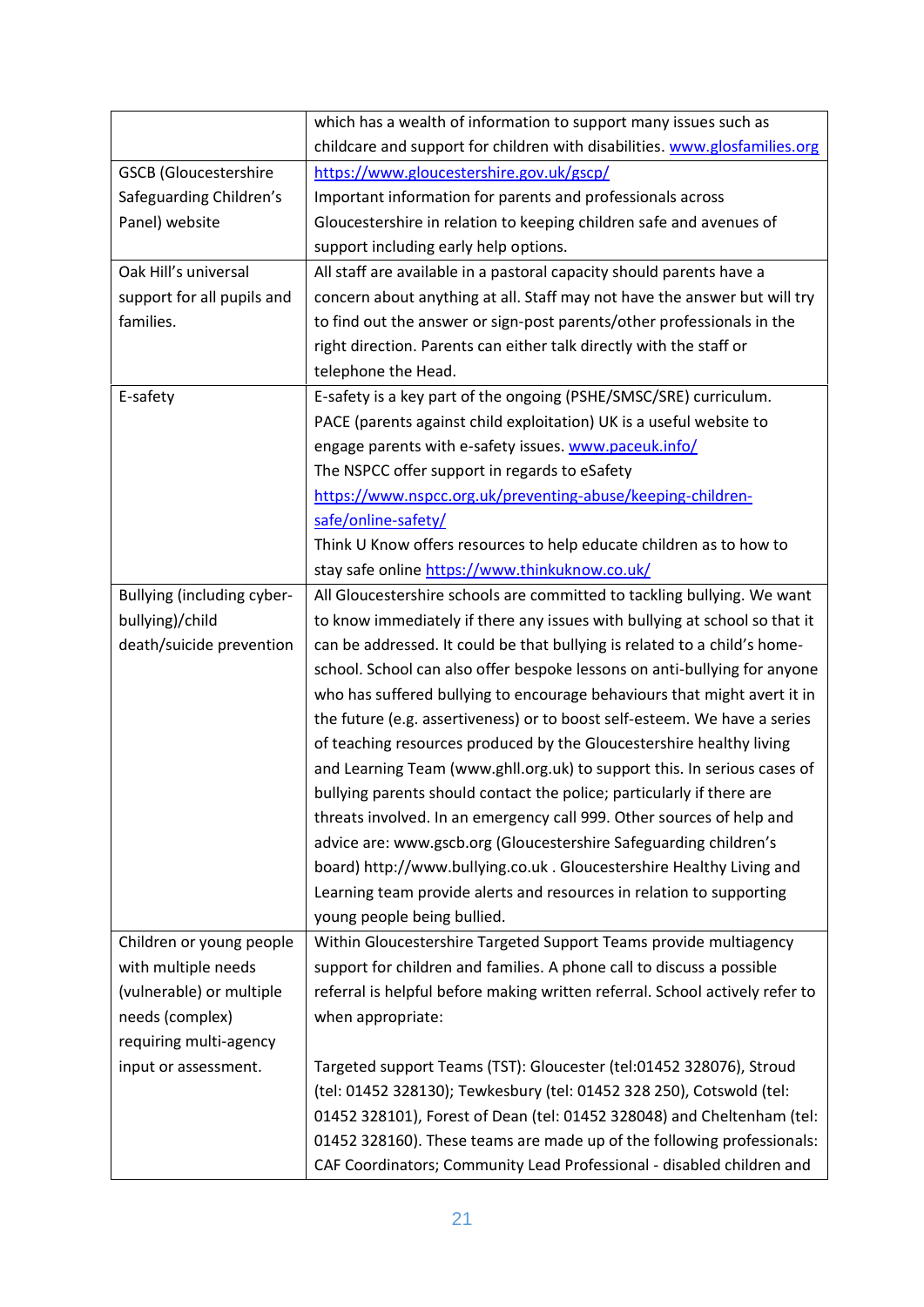|                              | which has a wealth of information to support many issues such as             |
|------------------------------|------------------------------------------------------------------------------|
|                              | childcare and support for children with disabilities. www.glosfamilies.org   |
| <b>GSCB</b> (Gloucestershire | https://www.gloucestershire.gov.uk/gscp/                                     |
| Safeguarding Children's      | Important information for parents and professionals across                   |
| Panel) website               | Gloucestershire in relation to keeping children safe and avenues of          |
|                              | support including early help options.                                        |
| Oak Hill's universal         | All staff are available in a pastoral capacity should parents have a         |
| support for all pupils and   | concern about anything at all. Staff may not have the answer but will try    |
| families.                    | to find out the answer or sign-post parents/other professionals in the       |
|                              | right direction. Parents can either talk directly with the staff or          |
|                              | telephone the Head.                                                          |
| E-safety                     | E-safety is a key part of the ongoing (PSHE/SMSC/SRE) curriculum.            |
|                              | PACE (parents against child exploitation) UK is a useful website to          |
|                              | engage parents with e-safety issues. www.paceuk.info/                        |
|                              | The NSPCC offer support in regards to eSafety                                |
|                              | https://www.nspcc.org.uk/preventing-abuse/keeping-children-                  |
|                              | safe/online-safety/                                                          |
|                              | Think U Know offers resources to help educate children as to how to          |
|                              | stay safe online https://www.thinkuknow.co.uk/                               |
| Bullying (including cyber-   | All Gloucestershire schools are committed to tackling bullying. We want      |
| bullying)/child              | to know immediately if there any issues with bullying at school so that it   |
| death/suicide prevention     | can be addressed. It could be that bullying is related to a child's home-    |
|                              | school. School can also offer bespoke lessons on anti-bullying for anyone    |
|                              | who has suffered bullying to encourage behaviours that might avert it in     |
|                              | the future (e.g. assertiveness) or to boost self-esteem. We have a series    |
|                              | of teaching resources produced by the Gloucestershire healthy living         |
|                              | and Learning Team (www.ghll.org.uk) to support this. In serious cases of     |
|                              | bullying parents should contact the police; particularly if there are        |
|                              | threats involved. In an emergency call 999. Other sources of help and        |
|                              | advice are: www.gscb.org (Gloucestershire Safeguarding children's            |
|                              | board) http://www.bullying.co.uk. Gloucestershire Healthy Living and         |
|                              | Learning team provide alerts and resources in relation to supporting         |
|                              | young people being bullied.                                                  |
| Children or young people     | Within Gloucestershire Targeted Support Teams provide multiagency            |
| with multiple needs          | support for children and families. A phone call to discuss a possible        |
| (vulnerable) or multiple     | referral is helpful before making written referral. School actively refer to |
| needs (complex)              | when appropriate:                                                            |
| requiring multi-agency       |                                                                              |
| input or assessment.         | Targeted support Teams (TST): Gloucester (tel:01452 328076), Stroud          |
|                              | (tel: 01452 328130); Tewkesbury (tel: 01452 328 250), Cotswold (tel:         |
|                              | 01452 328101), Forest of Dean (tel: 01452 328048) and Cheltenham (tel:       |
|                              | 01452 328160). These teams are made up of the following professionals:       |
|                              | CAF Coordinators; Community Lead Professional - disabled children and        |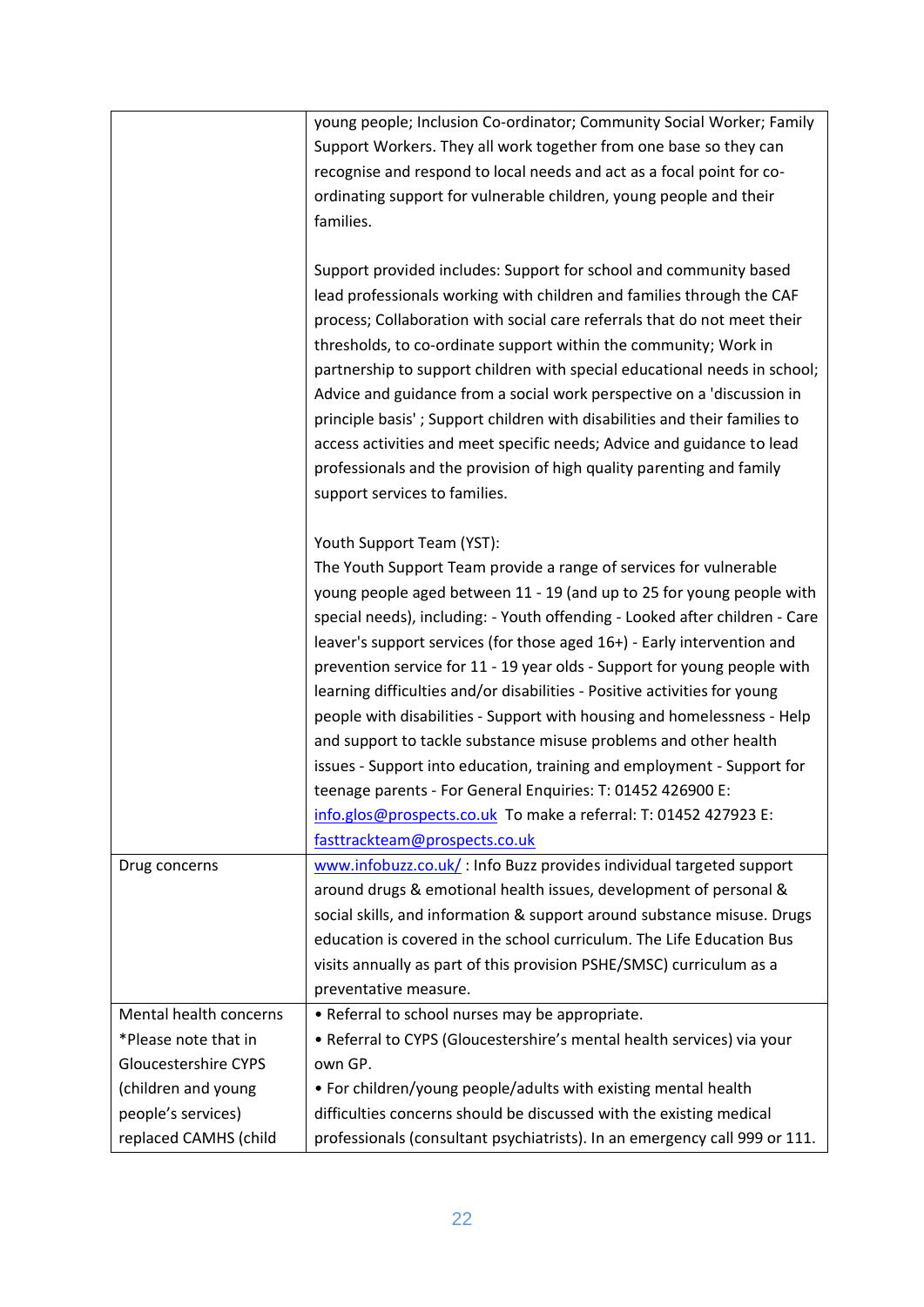|                             | young people; Inclusion Co-ordinator; Community Social Worker; Family<br>Support Workers. They all work together from one base so they can<br>recognise and respond to local needs and act as a focal point for co-<br>ordinating support for vulnerable children, young people and their<br>families.                                                                                                                                                                                                                                                                                                                                                                                                                                                                                                                                                                                  |
|-----------------------------|-----------------------------------------------------------------------------------------------------------------------------------------------------------------------------------------------------------------------------------------------------------------------------------------------------------------------------------------------------------------------------------------------------------------------------------------------------------------------------------------------------------------------------------------------------------------------------------------------------------------------------------------------------------------------------------------------------------------------------------------------------------------------------------------------------------------------------------------------------------------------------------------|
|                             | Support provided includes: Support for school and community based<br>lead professionals working with children and families through the CAF<br>process; Collaboration with social care referrals that do not meet their<br>thresholds, to co-ordinate support within the community; Work in<br>partnership to support children with special educational needs in school;<br>Advice and guidance from a social work perspective on a 'discussion in<br>principle basis'; Support children with disabilities and their families to<br>access activities and meet specific needs; Advice and guidance to lead<br>professionals and the provision of high quality parenting and family<br>support services to families.                                                                                                                                                                      |
|                             | Youth Support Team (YST):<br>The Youth Support Team provide a range of services for vulnerable<br>young people aged between 11 - 19 (and up to 25 for young people with<br>special needs), including: - Youth offending - Looked after children - Care<br>leaver's support services (for those aged 16+) - Early intervention and<br>prevention service for 11 - 19 year olds - Support for young people with<br>learning difficulties and/or disabilities - Positive activities for young<br>people with disabilities - Support with housing and homelessness - Help<br>and support to tackle substance misuse problems and other health<br>issues - Support into education, training and employment - Support for<br>teenage parents - For General Enquiries: T: 01452 426900 E:<br>info.glos@prospects.co.uk To make a referral: T: 01452 427923 E:<br>fasttrackteam@prospects.co.uk |
| Drug concerns               | www.infobuzz.co.uk/: Info Buzz provides individual targeted support<br>around drugs & emotional health issues, development of personal &<br>social skills, and information & support around substance misuse. Drugs<br>education is covered in the school curriculum. The Life Education Bus<br>visits annually as part of this provision PSHE/SMSC) curriculum as a<br>preventative measure.                                                                                                                                                                                                                                                                                                                                                                                                                                                                                           |
| Mental health concerns      | • Referral to school nurses may be appropriate.                                                                                                                                                                                                                                                                                                                                                                                                                                                                                                                                                                                                                                                                                                                                                                                                                                         |
| *Please note that in        | • Referral to CYPS (Gloucestershire's mental health services) via your                                                                                                                                                                                                                                                                                                                                                                                                                                                                                                                                                                                                                                                                                                                                                                                                                  |
| <b>Gloucestershire CYPS</b> | own GP.                                                                                                                                                                                                                                                                                                                                                                                                                                                                                                                                                                                                                                                                                                                                                                                                                                                                                 |
| (children and young         | • For children/young people/adults with existing mental health                                                                                                                                                                                                                                                                                                                                                                                                                                                                                                                                                                                                                                                                                                                                                                                                                          |
| people's services)          | difficulties concerns should be discussed with the existing medical                                                                                                                                                                                                                                                                                                                                                                                                                                                                                                                                                                                                                                                                                                                                                                                                                     |
| replaced CAMHS (child       | professionals (consultant psychiatrists). In an emergency call 999 or 111.                                                                                                                                                                                                                                                                                                                                                                                                                                                                                                                                                                                                                                                                                                                                                                                                              |
|                             |                                                                                                                                                                                                                                                                                                                                                                                                                                                                                                                                                                                                                                                                                                                                                                                                                                                                                         |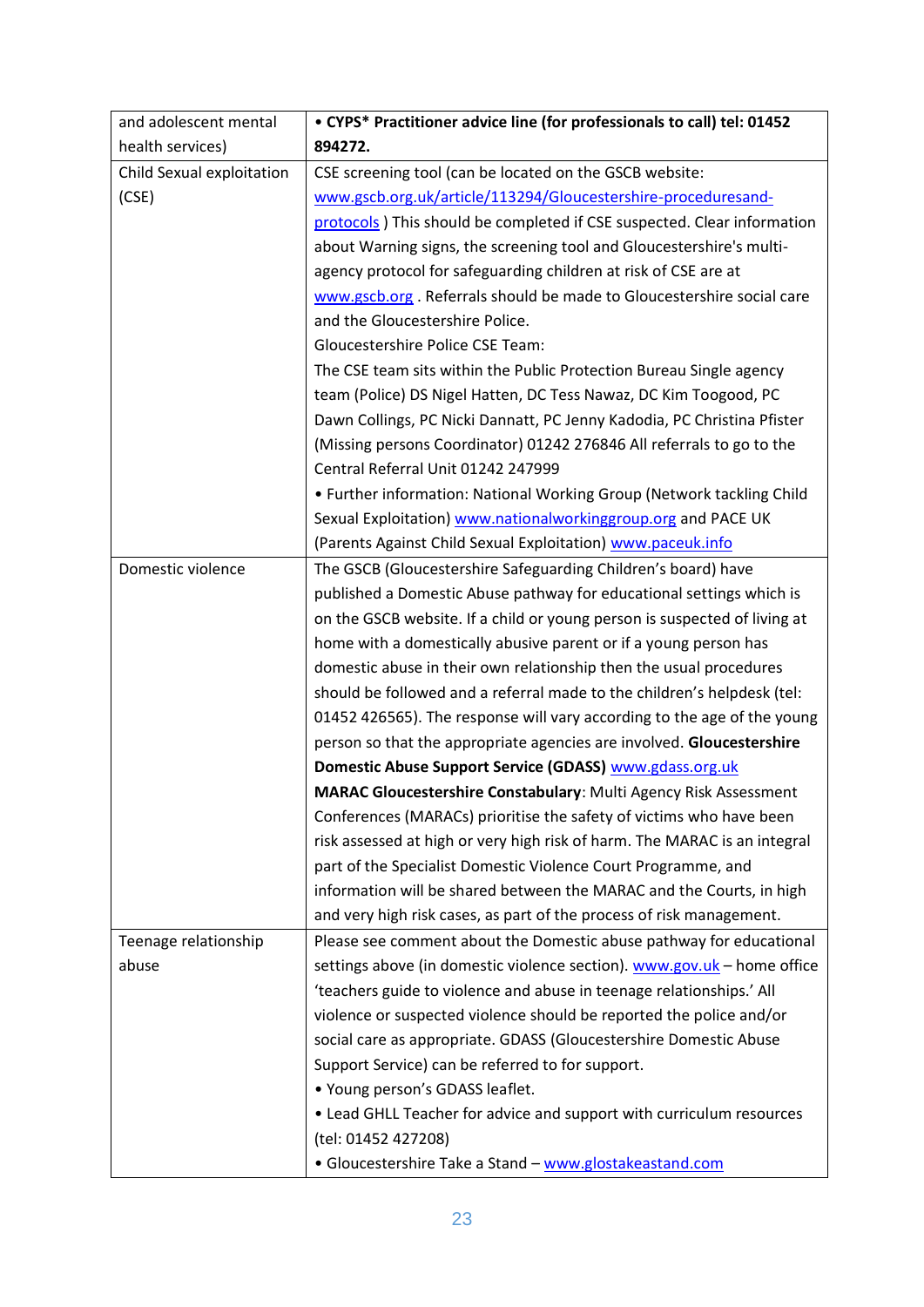| and adolescent mental     | • CYPS* Practitioner advice line (for professionals to call) tel: 01452   |
|---------------------------|---------------------------------------------------------------------------|
| health services)          | 894272.                                                                   |
| Child Sexual exploitation | CSE screening tool (can be located on the GSCB website:                   |
| (CSE)                     | www.gscb.org.uk/article/113294/Gloucestershire-proceduresand-             |
|                           | protocols ) This should be completed if CSE suspected. Clear information  |
|                           | about Warning signs, the screening tool and Gloucestershire's multi-      |
|                           | agency protocol for safeguarding children at risk of CSE are at           |
|                           | www.gscb.org Referrals should be made to Gloucestershire social care      |
|                           | and the Gloucestershire Police.                                           |
|                           | <b>Gloucestershire Police CSE Team:</b>                                   |
|                           | The CSE team sits within the Public Protection Bureau Single agency       |
|                           | team (Police) DS Nigel Hatten, DC Tess Nawaz, DC Kim Toogood, PC          |
|                           | Dawn Collings, PC Nicki Dannatt, PC Jenny Kadodia, PC Christina Pfister   |
|                           | (Missing persons Coordinator) 01242 276846 All referrals to go to the     |
|                           | Central Referral Unit 01242 247999                                        |
|                           | • Further information: National Working Group (Network tackling Child     |
|                           | Sexual Exploitation) www.nationalworkinggroup.org and PACE UK             |
|                           | (Parents Against Child Sexual Exploitation) www.paceuk.info               |
| Domestic violence         | The GSCB (Gloucestershire Safeguarding Children's board) have             |
|                           | published a Domestic Abuse pathway for educational settings which is      |
|                           | on the GSCB website. If a child or young person is suspected of living at |
|                           | home with a domestically abusive parent or if a young person has          |
|                           | domestic abuse in their own relationship then the usual procedures        |
|                           | should be followed and a referral made to the children's helpdesk (tel:   |
|                           | 01452 426565). The response will vary according to the age of the young   |
|                           | person so that the appropriate agencies are involved. Gloucestershire     |
|                           | Domestic Abuse Support Service (GDASS) www.gdass.org.uk                   |
|                           | <b>MARAC Gloucestershire Constabulary: Multi Agency Risk Assessment</b>   |
|                           | Conferences (MARACs) prioritise the safety of victims who have been       |
|                           | risk assessed at high or very high risk of harm. The MARAC is an integral |
|                           | part of the Specialist Domestic Violence Court Programme, and             |
|                           | information will be shared between the MARAC and the Courts, in high      |
|                           | and very high risk cases, as part of the process of risk management.      |
| Teenage relationship      | Please see comment about the Domestic abuse pathway for educational       |
| abuse                     | settings above (in domestic violence section). www.gov.uk - home office   |
|                           | 'teachers guide to violence and abuse in teenage relationships.' All      |
|                           | violence or suspected violence should be reported the police and/or       |
|                           | social care as appropriate. GDASS (Gloucestershire Domestic Abuse         |
|                           | Support Service) can be referred to for support.                          |
|                           | • Young person's GDASS leaflet.                                           |
|                           | • Lead GHLL Teacher for advice and support with curriculum resources      |
|                           | (tel: 01452 427208)                                                       |
|                           | • Gloucestershire Take a Stand - www.glostakeastand.com                   |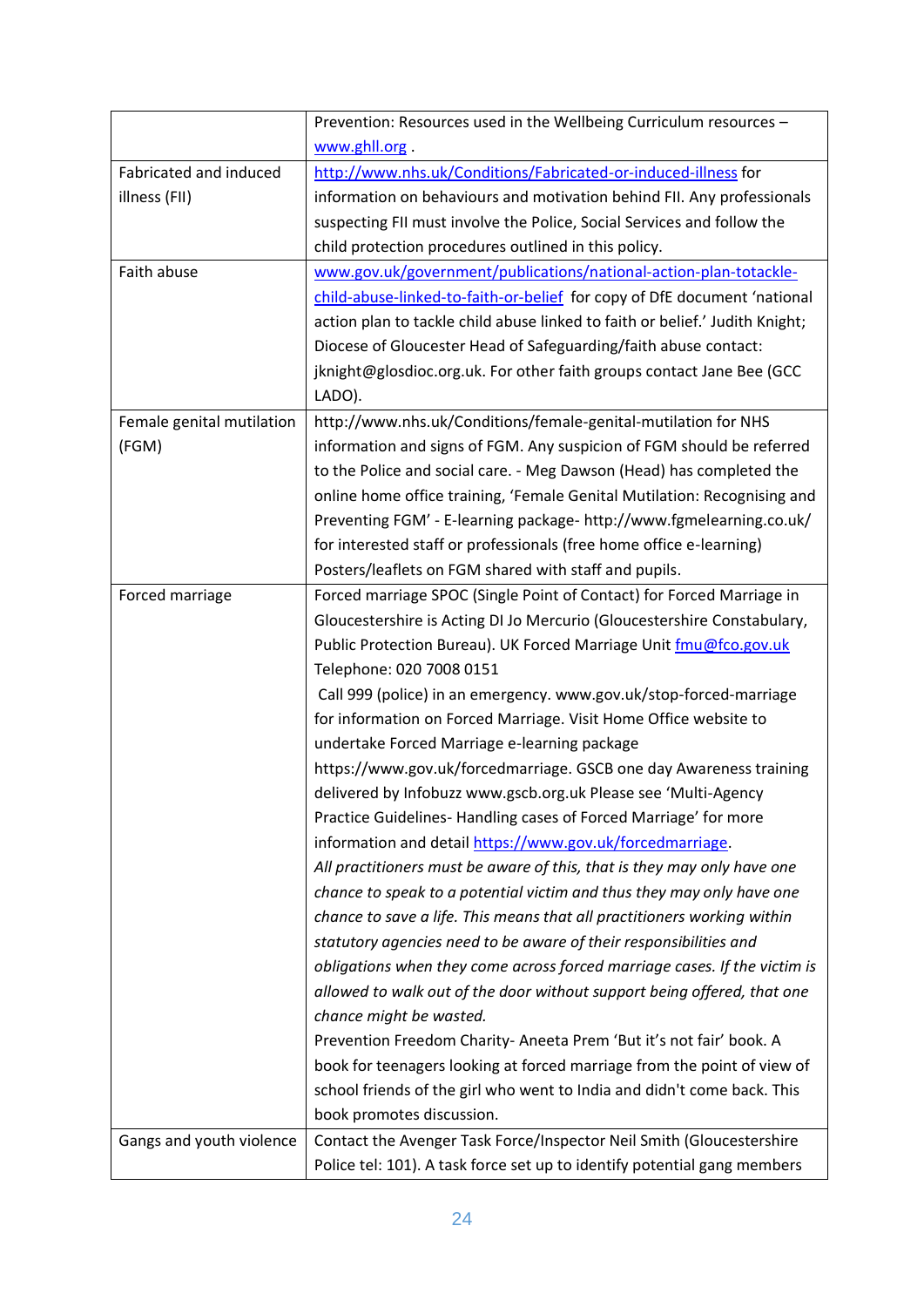|                           | Prevention: Resources used in the Wellbeing Curriculum resources -           |
|---------------------------|------------------------------------------------------------------------------|
|                           | www.ghll.org.                                                                |
| Fabricated and induced    | http://www.nhs.uk/Conditions/Fabricated-or-induced-illness for               |
| illness (FII)             | information on behaviours and motivation behind FII. Any professionals       |
|                           | suspecting FII must involve the Police, Social Services and follow the       |
|                           | child protection procedures outlined in this policy.                         |
| Faith abuse               | www.gov.uk/government/publications/national-action-plan-totackle-            |
|                           | child-abuse-linked-to-faith-or-belief for copy of DfE document 'national     |
|                           | action plan to tackle child abuse linked to faith or belief.' Judith Knight; |
|                           | Diocese of Gloucester Head of Safeguarding/faith abuse contact:              |
|                           | jknight@glosdioc.org.uk. For other faith groups contact Jane Bee (GCC        |
|                           | LADO).                                                                       |
| Female genital mutilation | http://www.nhs.uk/Conditions/female-genital-mutilation for NHS               |
| (FGM)                     | information and signs of FGM. Any suspicion of FGM should be referred        |
|                           | to the Police and social care. - Meg Dawson (Head) has completed the         |
|                           | online home office training, 'Female Genital Mutilation: Recognising and     |
|                           | Preventing FGM' - E-learning package- http://www.fgmelearning.co.uk/         |
|                           | for interested staff or professionals (free home office e-learning)          |
|                           | Posters/leaflets on FGM shared with staff and pupils.                        |
| Forced marriage           | Forced marriage SPOC (Single Point of Contact) for Forced Marriage in        |
|                           | Gloucestershire is Acting DI Jo Mercurio (Gloucestershire Constabulary,      |
|                           | Public Protection Bureau). UK Forced Marriage Unit fmu@fco.gov.uk            |
|                           | Telephone: 020 7008 0151                                                     |
|                           | Call 999 (police) in an emergency. www.gov.uk/stop-forced-marriage           |
|                           | for information on Forced Marriage. Visit Home Office website to             |
|                           | undertake Forced Marriage e-learning package                                 |
|                           | https://www.gov.uk/forcedmarriage. GSCB one day Awareness training           |
|                           | delivered by Infobuzz www.gscb.org.uk Please see 'Multi-Agency               |
|                           | Practice Guidelines-Handling cases of Forced Marriage' for more              |
|                           | information and detail https://www.gov.uk/forcedmarriage.                    |
|                           | All practitioners must be aware of this, that is they may only have one      |
|                           | chance to speak to a potential victim and thus they may only have one        |
|                           | chance to save a life. This means that all practitioners working within      |
|                           | statutory agencies need to be aware of their responsibilities and            |
|                           | obligations when they come across forced marriage cases. If the victim is    |
|                           | allowed to walk out of the door without support being offered, that one      |
|                           | chance might be wasted.                                                      |
|                           | Prevention Freedom Charity-Aneeta Prem 'But it's not fair' book. A           |
|                           | book for teenagers looking at forced marriage from the point of view of      |
|                           | school friends of the girl who went to India and didn't come back. This      |
|                           | book promotes discussion.                                                    |
| Gangs and youth violence  | Contact the Avenger Task Force/Inspector Neil Smith (Gloucestershire         |
|                           | Police tel: 101). A task force set up to identify potential gang members     |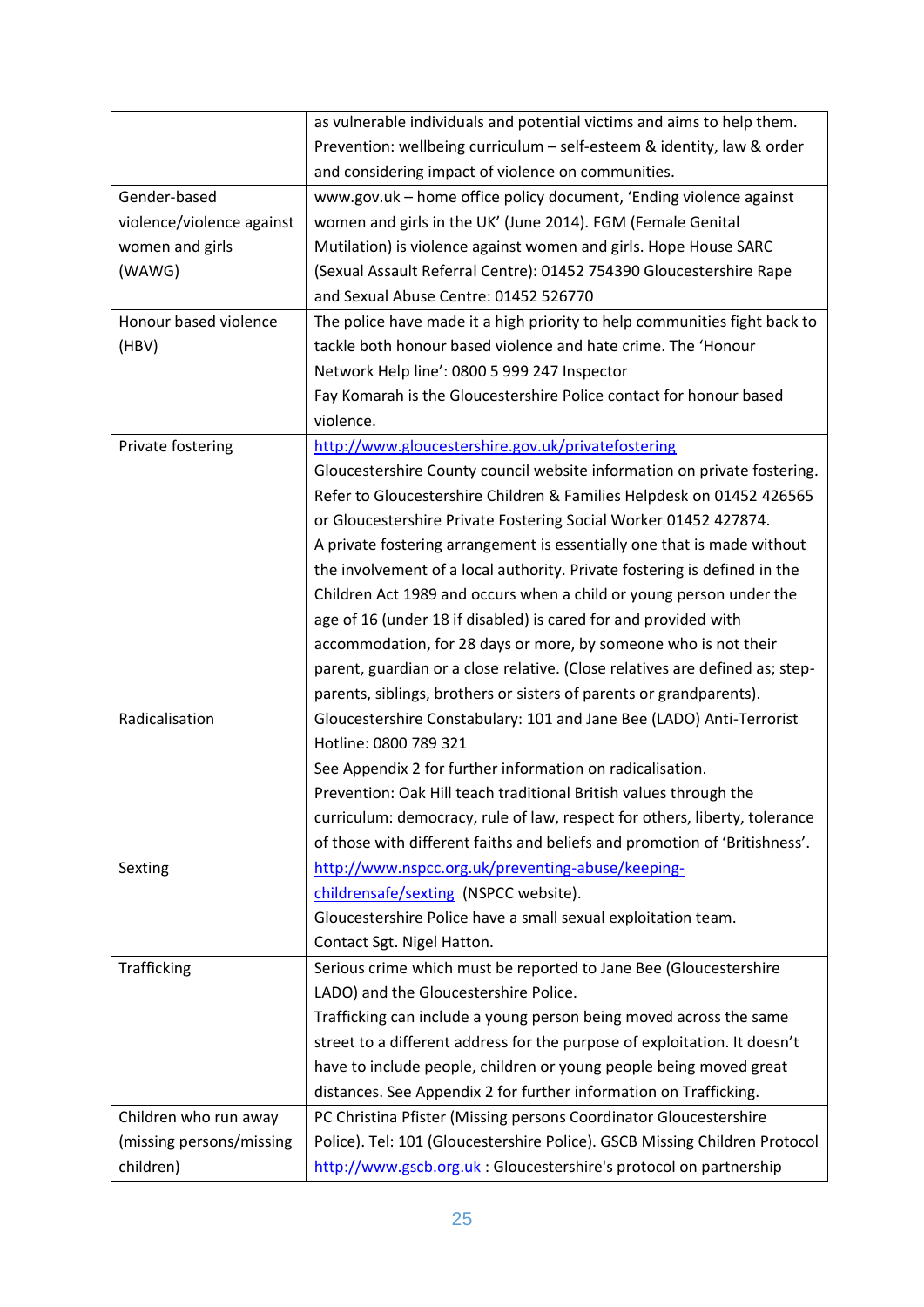|                           | as vulnerable individuals and potential victims and aims to help them.       |
|---------------------------|------------------------------------------------------------------------------|
|                           | Prevention: wellbeing curriculum - self-esteem & identity, law & order       |
|                           | and considering impact of violence on communities.                           |
| Gender-based              | www.gov.uk - home office policy document, 'Ending violence against           |
| violence/violence against | women and girls in the UK' (June 2014). FGM (Female Genital                  |
| women and girls           | Mutilation) is violence against women and girls. Hope House SARC             |
| (WAWG)                    | (Sexual Assault Referral Centre): 01452 754390 Gloucestershire Rape          |
|                           | and Sexual Abuse Centre: 01452 526770                                        |
| Honour based violence     | The police have made it a high priority to help communities fight back to    |
| (HBV)                     | tackle both honour based violence and hate crime. The 'Honour                |
|                           | Network Help line': 0800 5 999 247 Inspector                                 |
|                           | Fay Komarah is the Gloucestershire Police contact for honour based           |
|                           | violence.                                                                    |
| Private fostering         | http://www.gloucestershire.gov.uk/privatefostering                           |
|                           | Gloucestershire County council website information on private fostering.     |
|                           | Refer to Gloucestershire Children & Families Helpdesk on 01452 426565        |
|                           | or Gloucestershire Private Fostering Social Worker 01452 427874.             |
|                           | A private fostering arrangement is essentially one that is made without      |
|                           | the involvement of a local authority. Private fostering is defined in the    |
|                           | Children Act 1989 and occurs when a child or young person under the          |
|                           | age of 16 (under 18 if disabled) is cared for and provided with              |
|                           | accommodation, for 28 days or more, by someone who is not their              |
|                           | parent, guardian or a close relative. (Close relatives are defined as; step- |
|                           | parents, siblings, brothers or sisters of parents or grandparents).          |
| Radicalisation            | Gloucestershire Constabulary: 101 and Jane Bee (LADO) Anti-Terrorist         |
|                           | Hotline: 0800 789 321                                                        |
|                           | See Appendix 2 for further information on radicalisation.                    |
|                           | Prevention: Oak Hill teach traditional British values through the            |
|                           | curriculum: democracy, rule of law, respect for others, liberty, tolerance   |
|                           | of those with different faiths and beliefs and promotion of 'Britishness'.   |
| Sexting                   | http://www.nspcc.org.uk/preventing-abuse/keeping-                            |
|                           | childrensafe/sexting (NSPCC website).                                        |
|                           | Gloucestershire Police have a small sexual exploitation team.                |
|                           | Contact Sgt. Nigel Hatton.                                                   |
| <b>Trafficking</b>        | Serious crime which must be reported to Jane Bee (Gloucestershire            |
|                           | LADO) and the Gloucestershire Police.                                        |
|                           | Trafficking can include a young person being moved across the same           |
|                           | street to a different address for the purpose of exploitation. It doesn't    |
|                           | have to include people, children or young people being moved great           |
|                           | distances. See Appendix 2 for further information on Trafficking.            |
| Children who run away     | PC Christina Pfister (Missing persons Coordinator Gloucestershire            |
| (missing persons/missing  | Police). Tel: 101 (Gloucestershire Police). GSCB Missing Children Protocol   |
|                           |                                                                              |
| children)                 | http://www.gscb.org.uk: Gloucestershire's protocol on partnership            |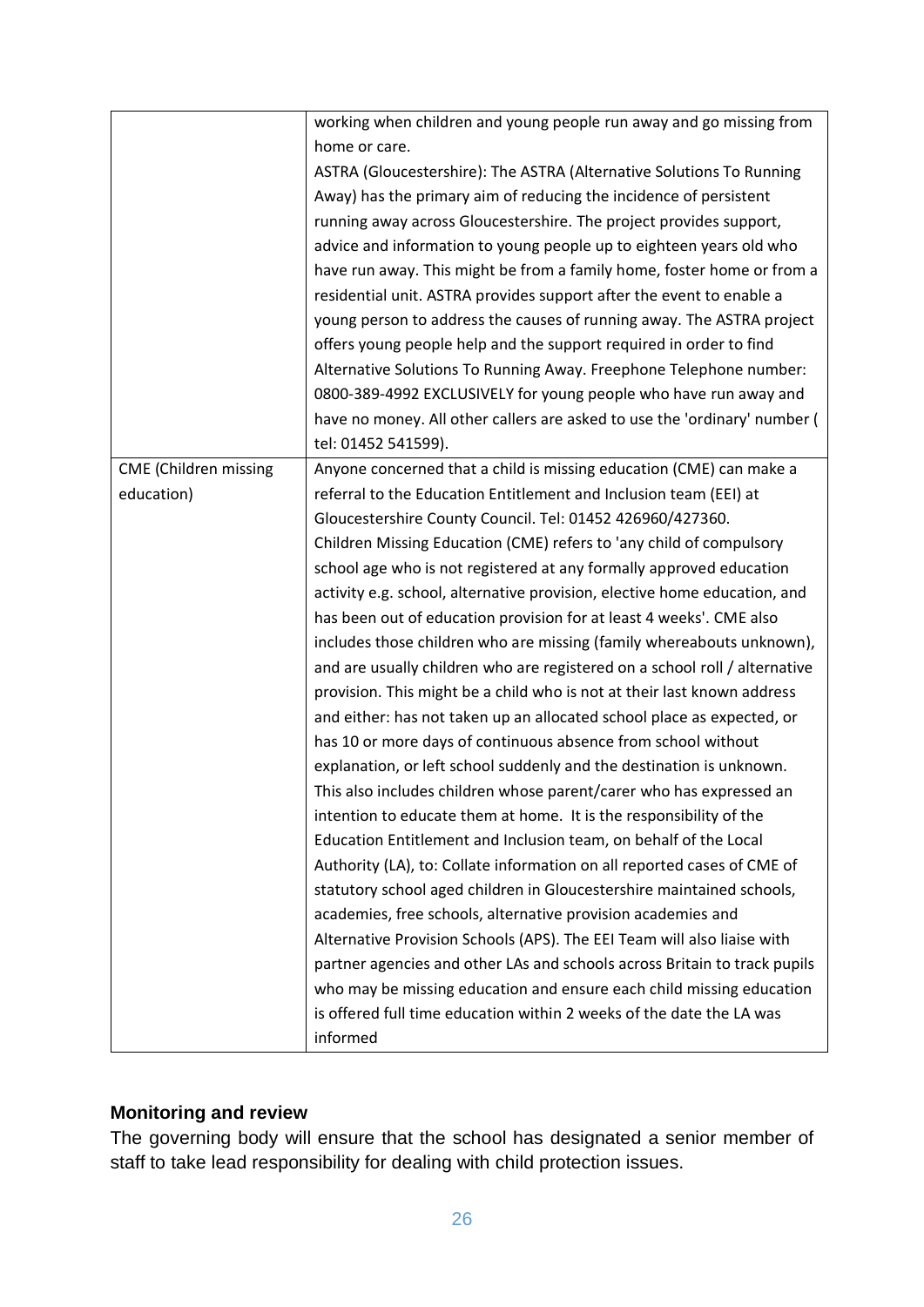|                              | working when children and young people run away and go missing from        |
|------------------------------|----------------------------------------------------------------------------|
|                              | home or care.                                                              |
|                              | ASTRA (Gloucestershire): The ASTRA (Alternative Solutions To Running       |
|                              | Away) has the primary aim of reducing the incidence of persistent          |
|                              | running away across Gloucestershire. The project provides support,         |
|                              | advice and information to young people up to eighteen years old who        |
|                              | have run away. This might be from a family home, foster home or from a     |
|                              | residential unit. ASTRA provides support after the event to enable a       |
|                              | young person to address the causes of running away. The ASTRA project      |
|                              | offers young people help and the support required in order to find         |
|                              | Alternative Solutions To Running Away. Freephone Telephone number:         |
|                              | 0800-389-4992 EXCLUSIVELY for young people who have run away and           |
|                              | have no money. All other callers are asked to use the 'ordinary' number (  |
|                              | tel: 01452 541599).                                                        |
| <b>CME</b> (Children missing | Anyone concerned that a child is missing education (CME) can make a        |
| education)                   | referral to the Education Entitlement and Inclusion team (EEI) at          |
|                              | Gloucestershire County Council. Tel: 01452 426960/427360.                  |
|                              | Children Missing Education (CME) refers to 'any child of compulsory        |
|                              | school age who is not registered at any formally approved education        |
|                              | activity e.g. school, alternative provision, elective home education, and  |
|                              | has been out of education provision for at least 4 weeks'. CME also        |
|                              | includes those children who are missing (family whereabouts unknown),      |
|                              | and are usually children who are registered on a school roll / alternative |
|                              | provision. This might be a child who is not at their last known address    |
|                              | and either: has not taken up an allocated school place as expected, or     |
|                              | has 10 or more days of continuous absence from school without              |
|                              | explanation, or left school suddenly and the destination is unknown.       |
|                              | This also includes children whose parent/carer who has expressed an        |
|                              | intention to educate them at home. It is the responsibility of the         |
|                              | Education Entitlement and Inclusion team, on behalf of the Local           |
|                              | Authority (LA), to: Collate information on all reported cases of CME of    |
|                              | statutory school aged children in Gloucestershire maintained schools,      |
|                              | academies, free schools, alternative provision academies and               |
|                              | Alternative Provision Schools (APS). The EEI Team will also liaise with    |
|                              | partner agencies and other LAs and schools across Britain to track pupils  |
|                              | who may be missing education and ensure each child missing education       |
|                              | is offered full time education within 2 weeks of the date the LA was       |
|                              | informed                                                                   |

#### **Monitoring and review**

The governing body will ensure that the school has designated a senior member of staff to take lead responsibility for dealing with child protection issues.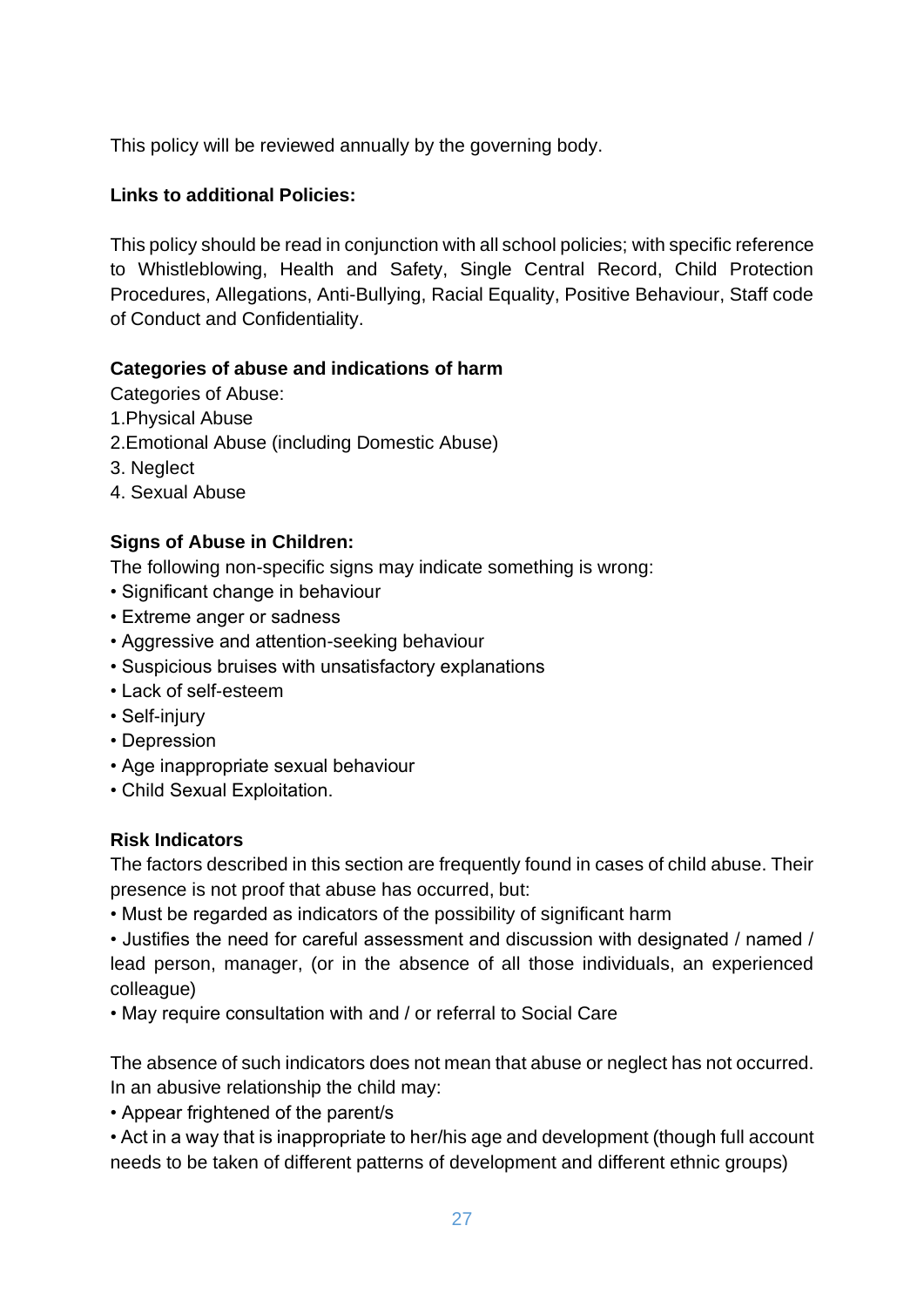This policy will be reviewed annually by the governing body.

#### **Links to additional Policies:**

This policy should be read in conjunction with all school policies; with specific reference to Whistleblowing, Health and Safety, Single Central Record, Child Protection Procedures, Allegations, Anti-Bullying, Racial Equality, Positive Behaviour, Staff code of Conduct and Confidentiality.

#### **Categories of abuse and indications of harm**

Categories of Abuse:

- 1.Physical Abuse
- 2.Emotional Abuse (including Domestic Abuse)
- 3. Neglect
- 4. Sexual Abuse

#### **Signs of Abuse in Children:**

The following non-specific signs may indicate something is wrong:

- Significant change in behaviour
- Extreme anger or sadness
- Aggressive and attention-seeking behaviour
- Suspicious bruises with unsatisfactory explanations
- Lack of self-esteem
- Self-injury
- Depression
- Age inappropriate sexual behaviour
- Child Sexual Exploitation.

#### **Risk Indicators**

The factors described in this section are frequently found in cases of child abuse. Their presence is not proof that abuse has occurred, but:

• Must be regarded as indicators of the possibility of significant harm

• Justifies the need for careful assessment and discussion with designated / named / lead person, manager, (or in the absence of all those individuals, an experienced colleague)

• May require consultation with and / or referral to Social Care

The absence of such indicators does not mean that abuse or neglect has not occurred. In an abusive relationship the child may:

• Appear frightened of the parent/s

• Act in a way that is inappropriate to her/his age and development (though full account needs to be taken of different patterns of development and different ethnic groups)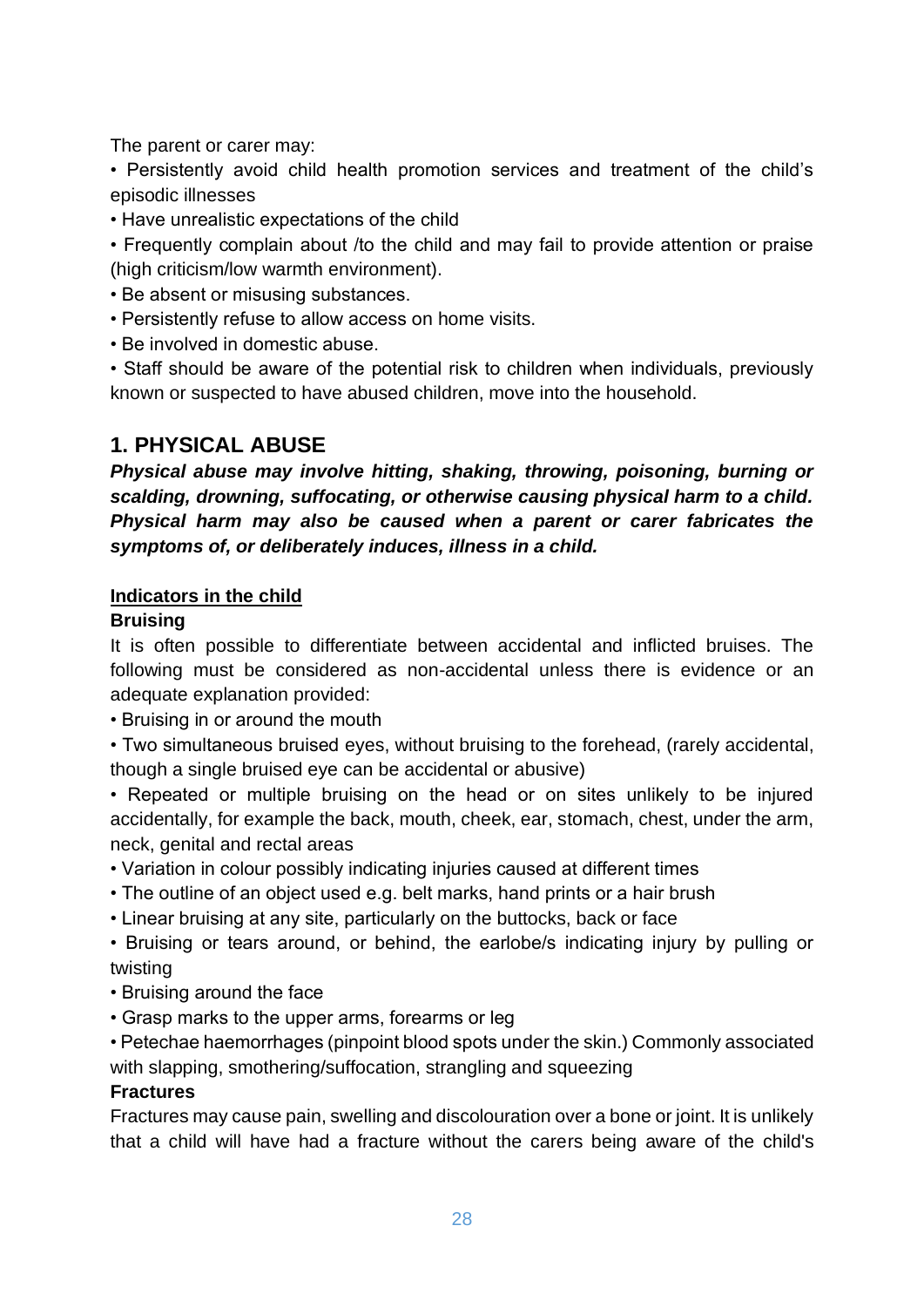The parent or carer may:

• Persistently avoid child health promotion services and treatment of the child's episodic illnesses

• Have unrealistic expectations of the child

• Frequently complain about /to the child and may fail to provide attention or praise (high criticism/low warmth environment).

- Be absent or misusing substances.
- Persistently refuse to allow access on home visits.
- Be involved in domestic abuse.

• Staff should be aware of the potential risk to children when individuals, previously known or suspected to have abused children, move into the household.

# **1. PHYSICAL ABUSE**

*Physical abuse may involve hitting, shaking, throwing, poisoning, burning or scalding, drowning, suffocating, or otherwise causing physical harm to a child. Physical harm may also be caused when a parent or carer fabricates the symptoms of, or deliberately induces, illness in a child.*

#### **Indicators in the child**

#### **Bruising**

It is often possible to differentiate between accidental and inflicted bruises. The following must be considered as non-accidental unless there is evidence or an adequate explanation provided:

• Bruising in or around the mouth

• Two simultaneous bruised eyes, without bruising to the forehead, (rarely accidental, though a single bruised eye can be accidental or abusive)

• Repeated or multiple bruising on the head or on sites unlikely to be injured accidentally, for example the back, mouth, cheek, ear, stomach, chest, under the arm, neck, genital and rectal areas

- Variation in colour possibly indicating injuries caused at different times
- The outline of an object used e.g. belt marks, hand prints or a hair brush
- Linear bruising at any site, particularly on the buttocks, back or face

• Bruising or tears around, or behind, the earlobe/s indicating injury by pulling or twisting

- Bruising around the face
- Grasp marks to the upper arms, forearms or leg

• Petechae haemorrhages (pinpoint blood spots under the skin.) Commonly associated with slapping, smothering/suffocation, strangling and squeezing

#### **Fractures**

Fractures may cause pain, swelling and discolouration over a bone or joint. It is unlikely that a child will have had a fracture without the carers being aware of the child's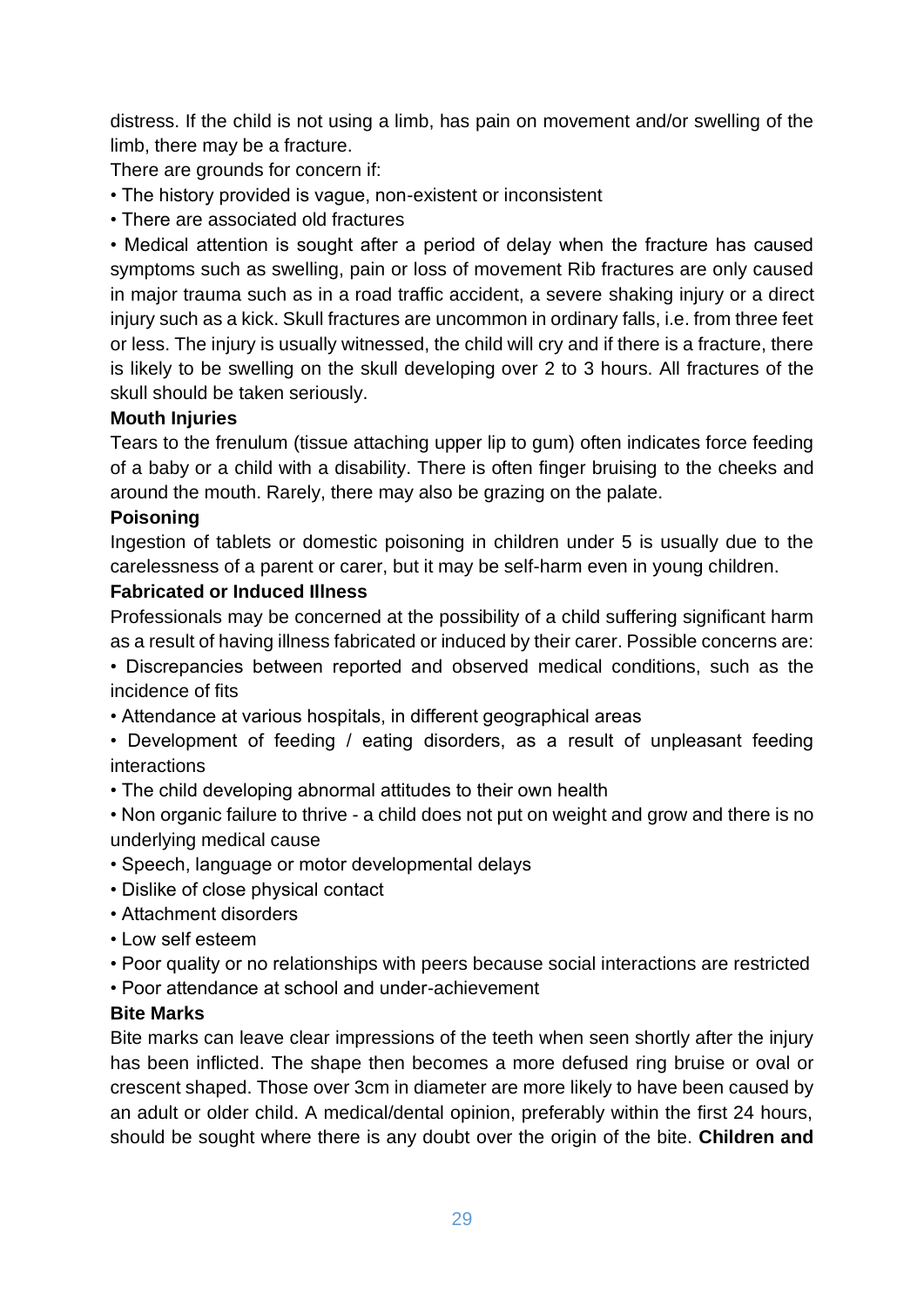distress. If the child is not using a limb, has pain on movement and/or swelling of the limb, there may be a fracture.

There are grounds for concern if:

- The history provided is vague, non-existent or inconsistent
- There are associated old fractures

• Medical attention is sought after a period of delay when the fracture has caused symptoms such as swelling, pain or loss of movement Rib fractures are only caused in major trauma such as in a road traffic accident, a severe shaking injury or a direct injury such as a kick. Skull fractures are uncommon in ordinary falls, i.e. from three feet or less. The injury is usually witnessed, the child will cry and if there is a fracture, there is likely to be swelling on the skull developing over 2 to 3 hours. All fractures of the skull should be taken seriously.

#### **Mouth Injuries**

Tears to the frenulum (tissue attaching upper lip to gum) often indicates force feeding of a baby or a child with a disability. There is often finger bruising to the cheeks and around the mouth. Rarely, there may also be grazing on the palate.

#### **Poisoning**

Ingestion of tablets or domestic poisoning in children under 5 is usually due to the carelessness of a parent or carer, but it may be self-harm even in young children.

#### **Fabricated or Induced Illness**

Professionals may be concerned at the possibility of a child suffering significant harm as a result of having illness fabricated or induced by their carer. Possible concerns are:

• Discrepancies between reported and observed medical conditions, such as the incidence of fits

• Attendance at various hospitals, in different geographical areas

• Development of feeding / eating disorders, as a result of unpleasant feeding interactions

• The child developing abnormal attitudes to their own health

• Non organic failure to thrive - a child does not put on weight and grow and there is no underlying medical cause

- Speech, language or motor developmental delays
- Dislike of close physical contact
- Attachment disorders
- Low self esteem
- Poor quality or no relationships with peers because social interactions are restricted
- Poor attendance at school and under-achievement

#### **Bite Marks**

Bite marks can leave clear impressions of the teeth when seen shortly after the injury has been inflicted. The shape then becomes a more defused ring bruise or oval or crescent shaped. Those over 3cm in diameter are more likely to have been caused by an adult or older child. A medical/dental opinion, preferably within the first 24 hours, should be sought where there is any doubt over the origin of the bite. **Children and**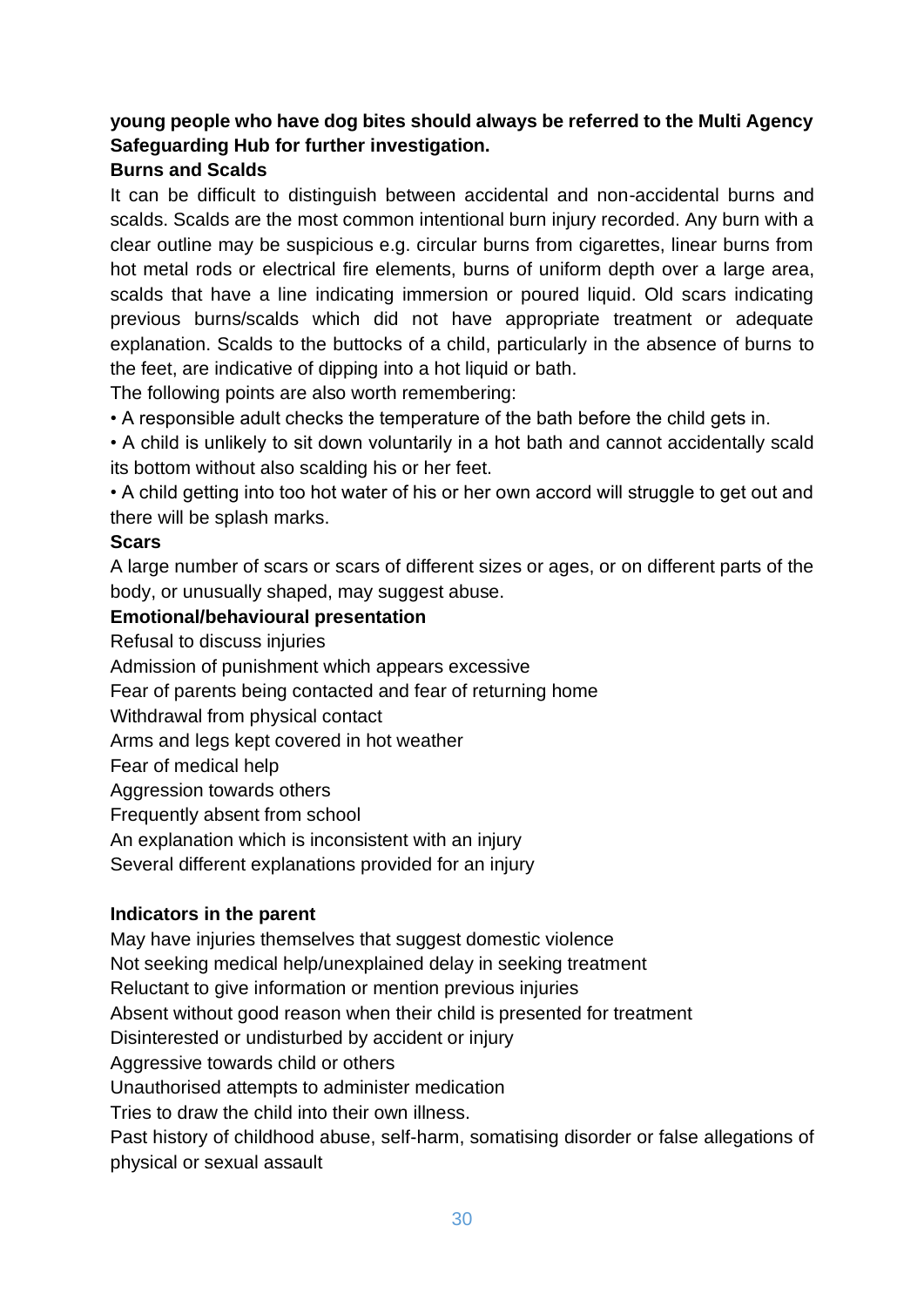#### **young people who have dog bites should always be referred to the Multi Agency Safeguarding Hub for further investigation.**

#### **Burns and Scalds**

It can be difficult to distinguish between accidental and non-accidental burns and scalds. Scalds are the most common intentional burn injury recorded. Any burn with a clear outline may be suspicious e.g. circular burns from cigarettes, linear burns from hot metal rods or electrical fire elements, burns of uniform depth over a large area, scalds that have a line indicating immersion or poured liquid. Old scars indicating previous burns/scalds which did not have appropriate treatment or adequate explanation. Scalds to the buttocks of a child, particularly in the absence of burns to the feet, are indicative of dipping into a hot liquid or bath.

The following points are also worth remembering:

• A responsible adult checks the temperature of the bath before the child gets in.

• A child is unlikely to sit down voluntarily in a hot bath and cannot accidentally scald its bottom without also scalding his or her feet.

• A child getting into too hot water of his or her own accord will struggle to get out and there will be splash marks.

#### **Scars**

A large number of scars or scars of different sizes or ages, or on different parts of the body, or unusually shaped, may suggest abuse.

#### **Emotional/behavioural presentation**

Refusal to discuss injuries

Admission of punishment which appears excessive

Fear of parents being contacted and fear of returning home

Withdrawal from physical contact

Arms and legs kept covered in hot weather

Fear of medical help

Aggression towards others

Frequently absent from school

An explanation which is inconsistent with an injury

Several different explanations provided for an injury

#### **Indicators in the parent**

May have injuries themselves that suggest domestic violence

Not seeking medical help/unexplained delay in seeking treatment

Reluctant to give information or mention previous injuries

Absent without good reason when their child is presented for treatment

Disinterested or undisturbed by accident or injury

Aggressive towards child or others

Unauthorised attempts to administer medication

Tries to draw the child into their own illness.

Past history of childhood abuse, self-harm, somatising disorder or false allegations of physical or sexual assault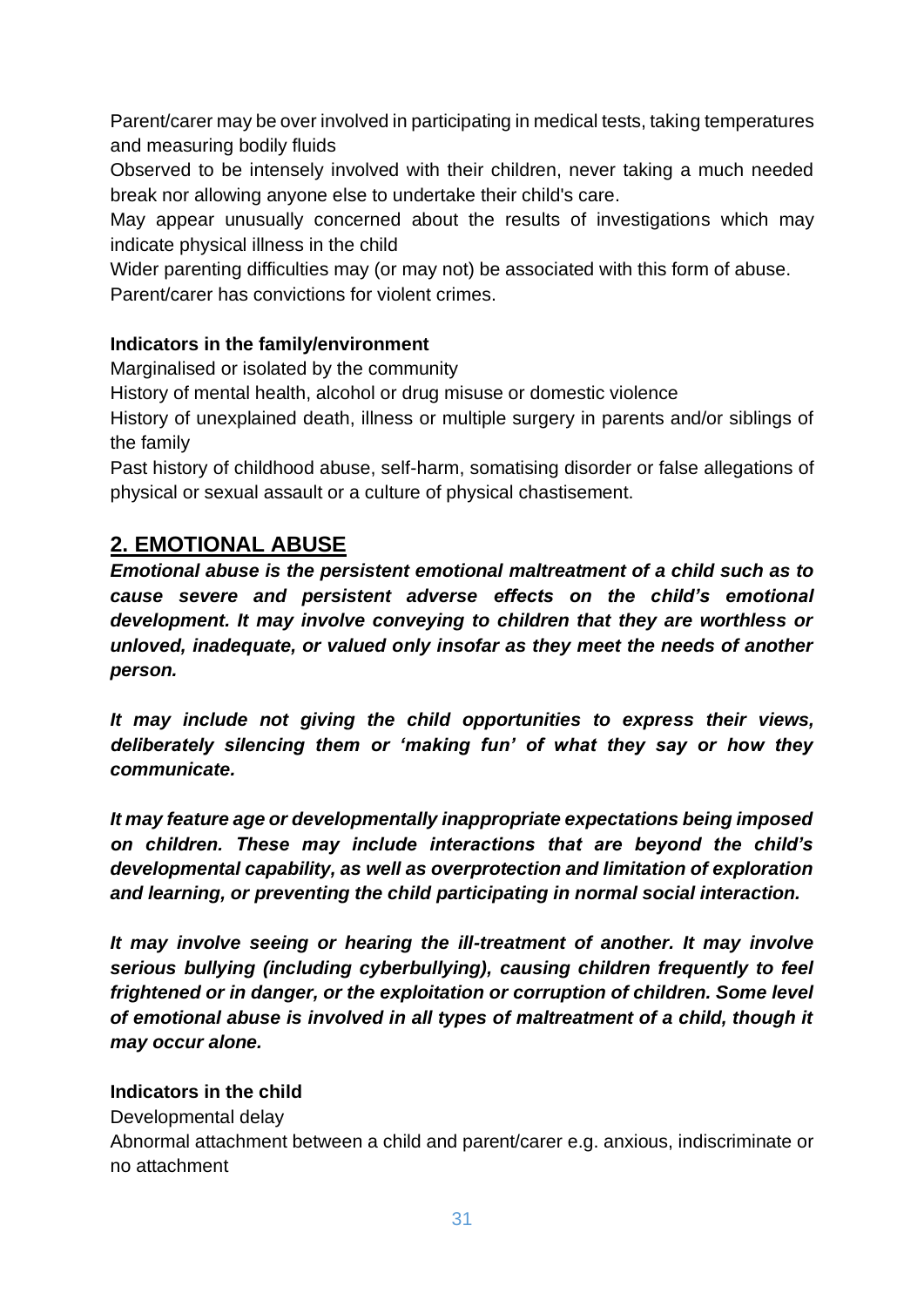Parent/carer may be over involved in participating in medical tests, taking temperatures and measuring bodily fluids

Observed to be intensely involved with their children, never taking a much needed break nor allowing anyone else to undertake their child's care.

May appear unusually concerned about the results of investigations which may indicate physical illness in the child

Wider parenting difficulties may (or may not) be associated with this form of abuse. Parent/carer has convictions for violent crimes.

#### **Indicators in the family/environment**

Marginalised or isolated by the community

History of mental health, alcohol or drug misuse or domestic violence

History of unexplained death, illness or multiple surgery in parents and/or siblings of the family

Past history of childhood abuse, self-harm, somatising disorder or false allegations of physical or sexual assault or a culture of physical chastisement.

# **2. EMOTIONAL ABUSE**

*Emotional abuse is the persistent emotional maltreatment of a child such as to cause severe and persistent adverse effects on the child's emotional development. It may involve conveying to children that they are worthless or unloved, inadequate, or valued only insofar as they meet the needs of another person.* 

*It may include not giving the child opportunities to express their views, deliberately silencing them or 'making fun' of what they say or how they communicate.* 

*It may feature age or developmentally inappropriate expectations being imposed on children. These may include interactions that are beyond the child's developmental capability, as well as overprotection and limitation of exploration and learning, or preventing the child participating in normal social interaction.* 

*It may involve seeing or hearing the ill-treatment of another. It may involve serious bullying (including cyberbullying), causing children frequently to feel frightened or in danger, or the exploitation or corruption of children. Some level of emotional abuse is involved in all types of maltreatment of a child, though it may occur alone.* 

#### **Indicators in the child**

Developmental delay

Abnormal attachment between a child and parent/carer e.g. anxious, indiscriminate or no attachment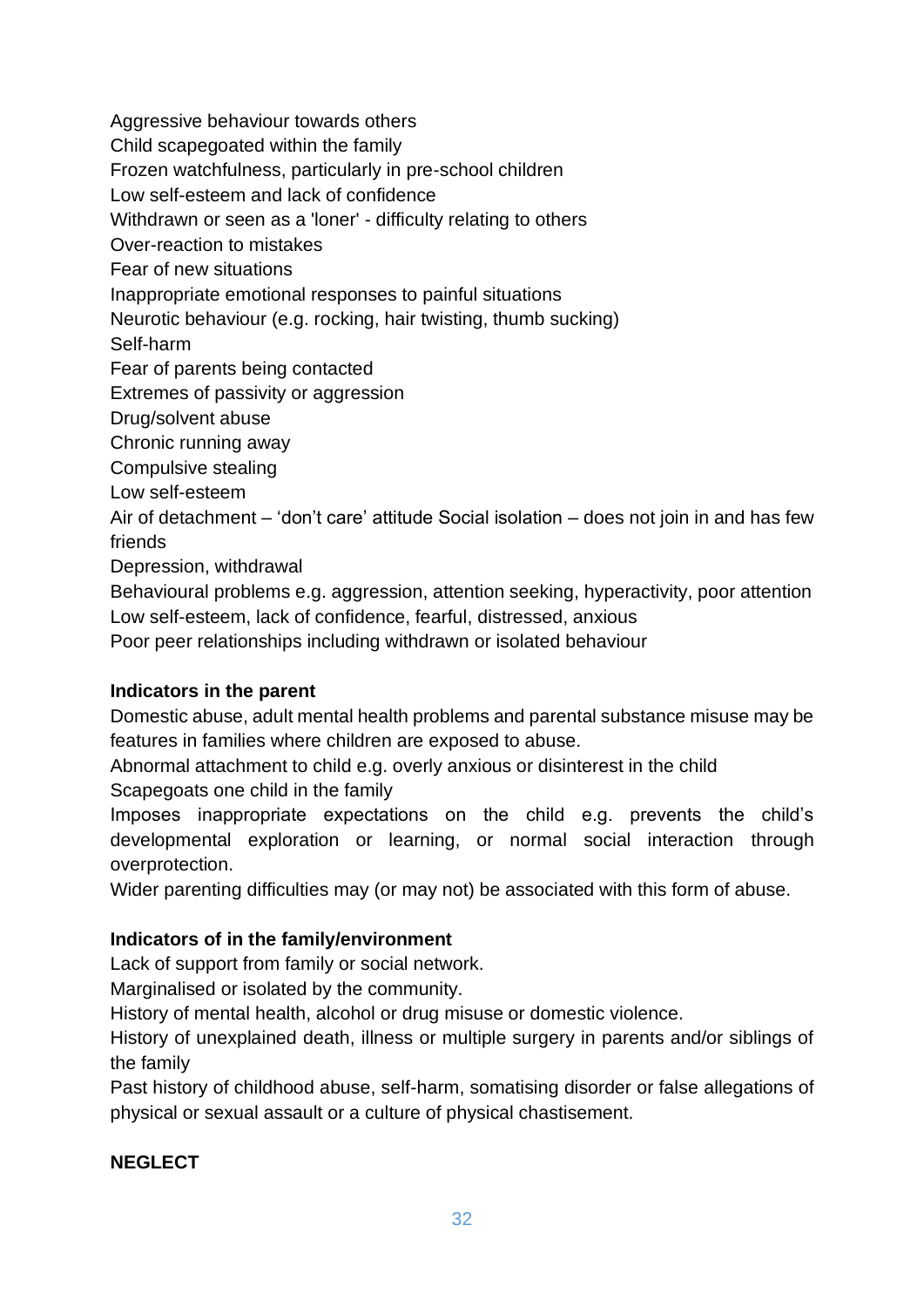Aggressive behaviour towards others Child scapegoated within the family Frozen watchfulness, particularly in pre-school children Low self-esteem and lack of confidence Withdrawn or seen as a 'loner' - difficulty relating to others Over-reaction to mistakes Fear of new situations Inappropriate emotional responses to painful situations Neurotic behaviour (e.g. rocking, hair twisting, thumb sucking) Self-harm Fear of parents being contacted Extremes of passivity or aggression Drug/solvent abuse Chronic running away Compulsive stealing Low self-esteem Air of detachment – 'don't care' attitude Social isolation – does not join in and has few friends Depression, withdrawal Behavioural problems e.g. aggression, attention seeking, hyperactivity, poor attention

Low self-esteem, lack of confidence, fearful, distressed, anxious

Poor peer relationships including withdrawn or isolated behaviour

#### **Indicators in the parent**

Domestic abuse, adult mental health problems and parental substance misuse may be features in families where children are exposed to abuse.

Abnormal attachment to child e.g. overly anxious or disinterest in the child Scapegoats one child in the family

Imposes inappropriate expectations on the child e.g. prevents the child's developmental exploration or learning, or normal social interaction through overprotection.

Wider parenting difficulties may (or may not) be associated with this form of abuse.

#### **Indicators of in the family/environment**

Lack of support from family or social network.

Marginalised or isolated by the community.

History of mental health, alcohol or drug misuse or domestic violence.

History of unexplained death, illness or multiple surgery in parents and/or siblings of the family

Past history of childhood abuse, self-harm, somatising disorder or false allegations of physical or sexual assault or a culture of physical chastisement.

#### **NEGLECT**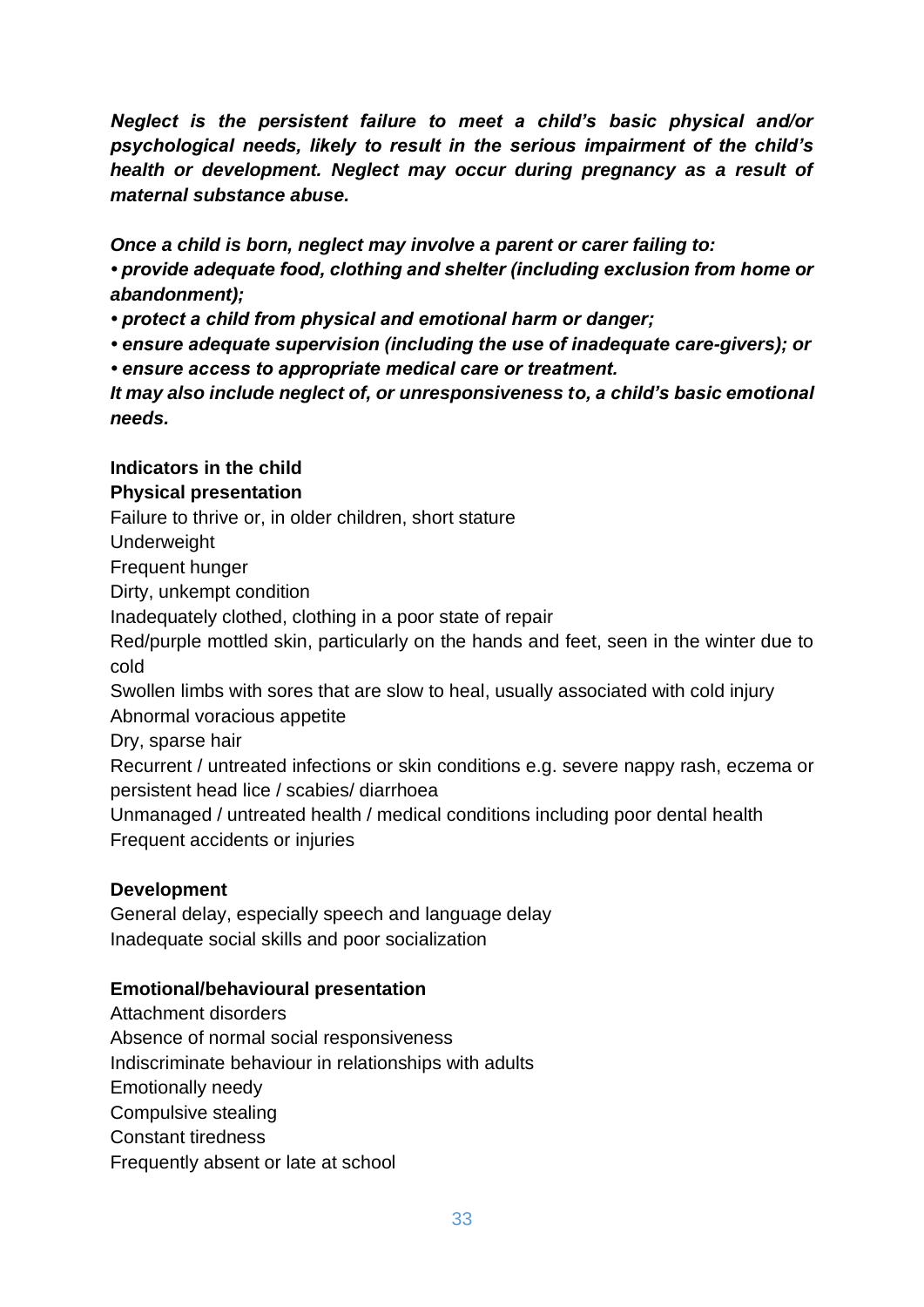*Neglect is the persistent failure to meet a child's basic physical and/or psychological needs, likely to result in the serious impairment of the child's health or development. Neglect may occur during pregnancy as a result of maternal substance abuse.* 

*Once a child is born, neglect may involve a parent or carer failing to:* 

*• provide adequate food, clothing and shelter (including exclusion from home or abandonment);* 

*• protect a child from physical and emotional harm or danger;* 

*• ensure adequate supervision (including the use of inadequate care-givers); or • ensure access to appropriate medical care or treatment.* 

*It may also include neglect of, or unresponsiveness to, a child's basic emotional needs.* 

#### **Indicators in the child Physical presentation**

Failure to thrive or, in older children, short stature

Underweight

Frequent hunger

Dirty, unkempt condition

Inadequately clothed, clothing in a poor state of repair

Red/purple mottled skin, particularly on the hands and feet, seen in the winter due to cold

Swollen limbs with sores that are slow to heal, usually associated with cold injury Abnormal voracious appetite

Dry, sparse hair

Recurrent / untreated infections or skin conditions e.g. severe nappy rash, eczema or persistent head lice / scabies/ diarrhoea

Unmanaged / untreated health / medical conditions including poor dental health Frequent accidents or injuries

#### **Development**

General delay, especially speech and language delay Inadequate social skills and poor socialization

#### **Emotional/behavioural presentation**

Attachment disorders Absence of normal social responsiveness Indiscriminate behaviour in relationships with adults Emotionally needy Compulsive stealing Constant tiredness Frequently absent or late at school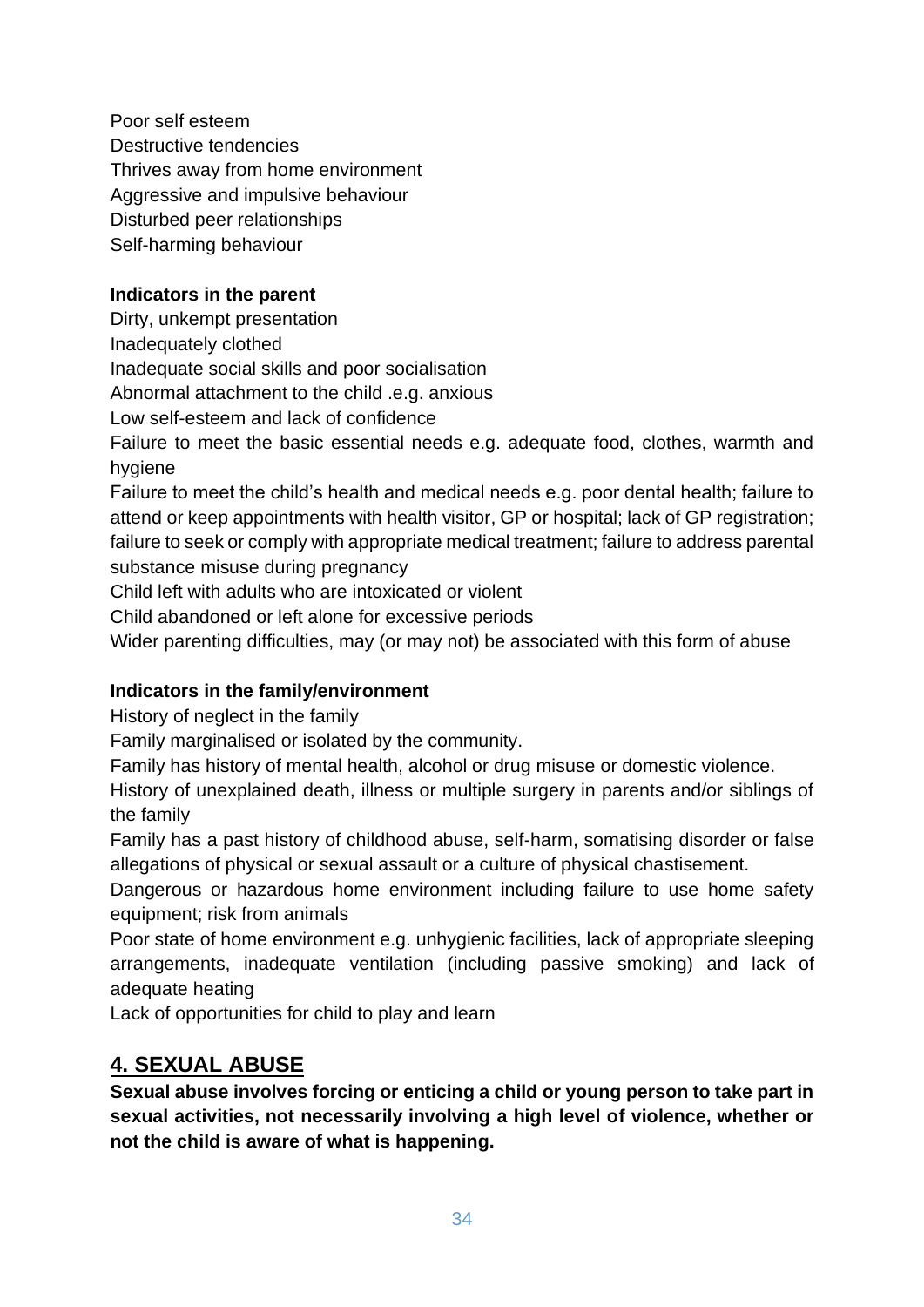Poor self esteem Destructive tendencies Thrives away from home environment Aggressive and impulsive behaviour Disturbed peer relationships Self-harming behaviour

#### **Indicators in the parent**

Dirty, unkempt presentation

Inadequately clothed

Inadequate social skills and poor socialisation

Abnormal attachment to the child .e.g. anxious

Low self-esteem and lack of confidence

Failure to meet the basic essential needs e.g. adequate food, clothes, warmth and hygiene

Failure to meet the child's health and medical needs e.g. poor dental health; failure to attend or keep appointments with health visitor, GP or hospital; lack of GP registration; failure to seek or comply with appropriate medical treatment; failure to address parental substance misuse during pregnancy

Child left with adults who are intoxicated or violent

Child abandoned or left alone for excessive periods

Wider parenting difficulties, may (or may not) be associated with this form of abuse

#### **Indicators in the family/environment**

History of neglect in the family

Family marginalised or isolated by the community.

Family has history of mental health, alcohol or drug misuse or domestic violence.

History of unexplained death, illness or multiple surgery in parents and/or siblings of the family

Family has a past history of childhood abuse, self-harm, somatising disorder or false allegations of physical or sexual assault or a culture of physical chastisement.

Dangerous or hazardous home environment including failure to use home safety equipment; risk from animals

Poor state of home environment e.g. unhygienic facilities, lack of appropriate sleeping arrangements, inadequate ventilation (including passive smoking) and lack of adequate heating

Lack of opportunities for child to play and learn

# **4. SEXUAL ABUSE**

**Sexual abuse involves forcing or enticing a child or young person to take part in sexual activities, not necessarily involving a high level of violence, whether or not the child is aware of what is happening.**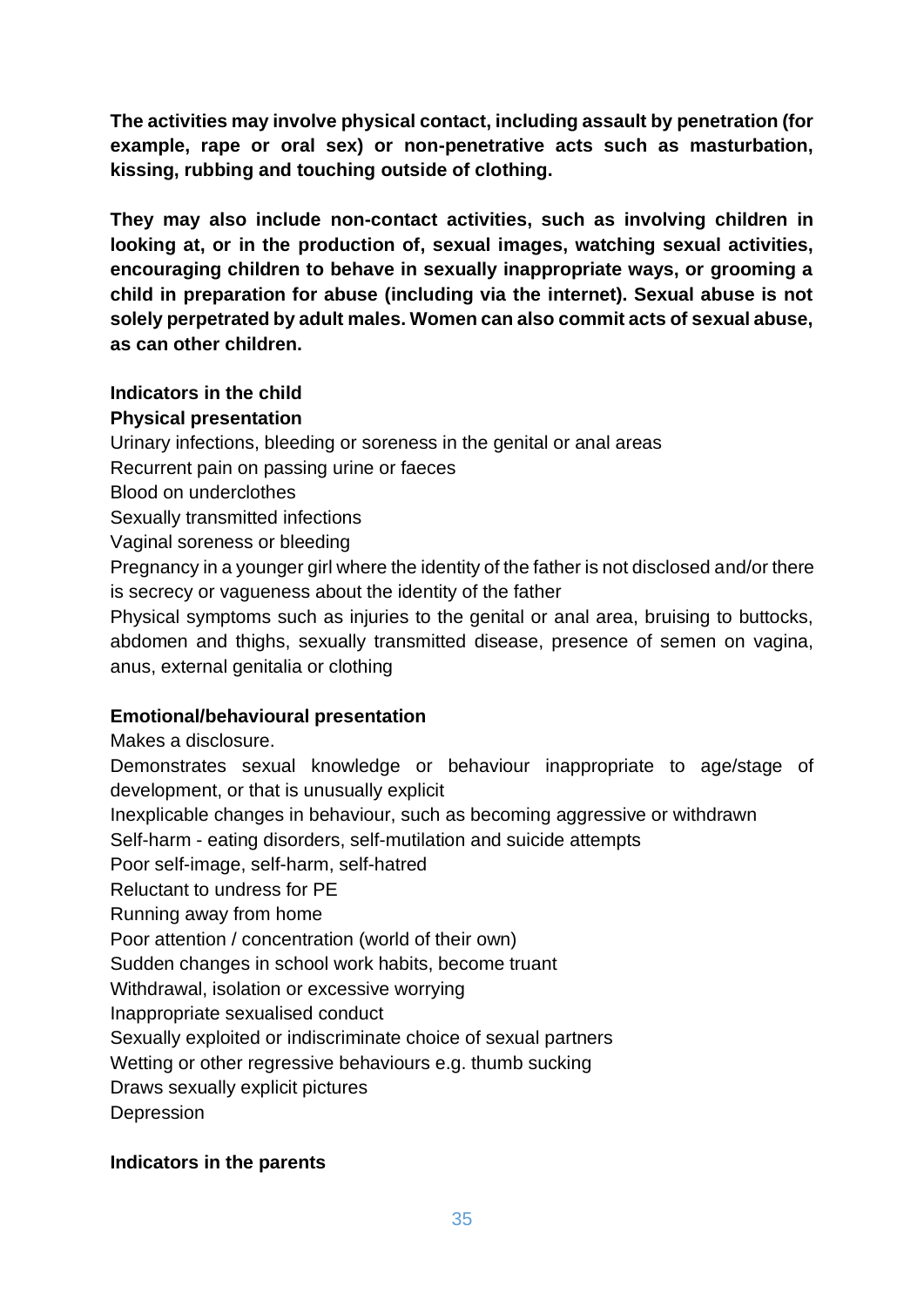**The activities may involve physical contact, including assault by penetration (for example, rape or oral sex) or non-penetrative acts such as masturbation, kissing, rubbing and touching outside of clothing.** 

**They may also include non-contact activities, such as involving children in looking at, or in the production of, sexual images, watching sexual activities, encouraging children to behave in sexually inappropriate ways, or grooming a child in preparation for abuse (including via the internet). Sexual abuse is not solely perpetrated by adult males. Women can also commit acts of sexual abuse, as can other children.**

# **Indicators in the child**

#### **Physical presentation**

Urinary infections, bleeding or soreness in the genital or anal areas

- Recurrent pain on passing urine or faeces
- Blood on underclothes
- Sexually transmitted infections
- Vaginal soreness or bleeding

Pregnancy in a younger girl where the identity of the father is not disclosed and/or there is secrecy or vagueness about the identity of the father

Physical symptoms such as injuries to the genital or anal area, bruising to buttocks, abdomen and thighs, sexually transmitted disease, presence of semen on vagina, anus, external genitalia or clothing

# **Emotional/behavioural presentation**

Makes a disclosure.

Demonstrates sexual knowledge or behaviour inappropriate to age/stage of development, or that is unusually explicit

Inexplicable changes in behaviour, such as becoming aggressive or withdrawn

Self-harm - eating disorders, self-mutilation and suicide attempts

Poor self-image, self-harm, self-hatred

Reluctant to undress for PE

Running away from home

Poor attention / concentration (world of their own)

Sudden changes in school work habits, become truant

Withdrawal, isolation or excessive worrying

Inappropriate sexualised conduct

Sexually exploited or indiscriminate choice of sexual partners

Wetting or other regressive behaviours e.g. thumb sucking

Draws sexually explicit pictures

Depression

# **Indicators in the parents**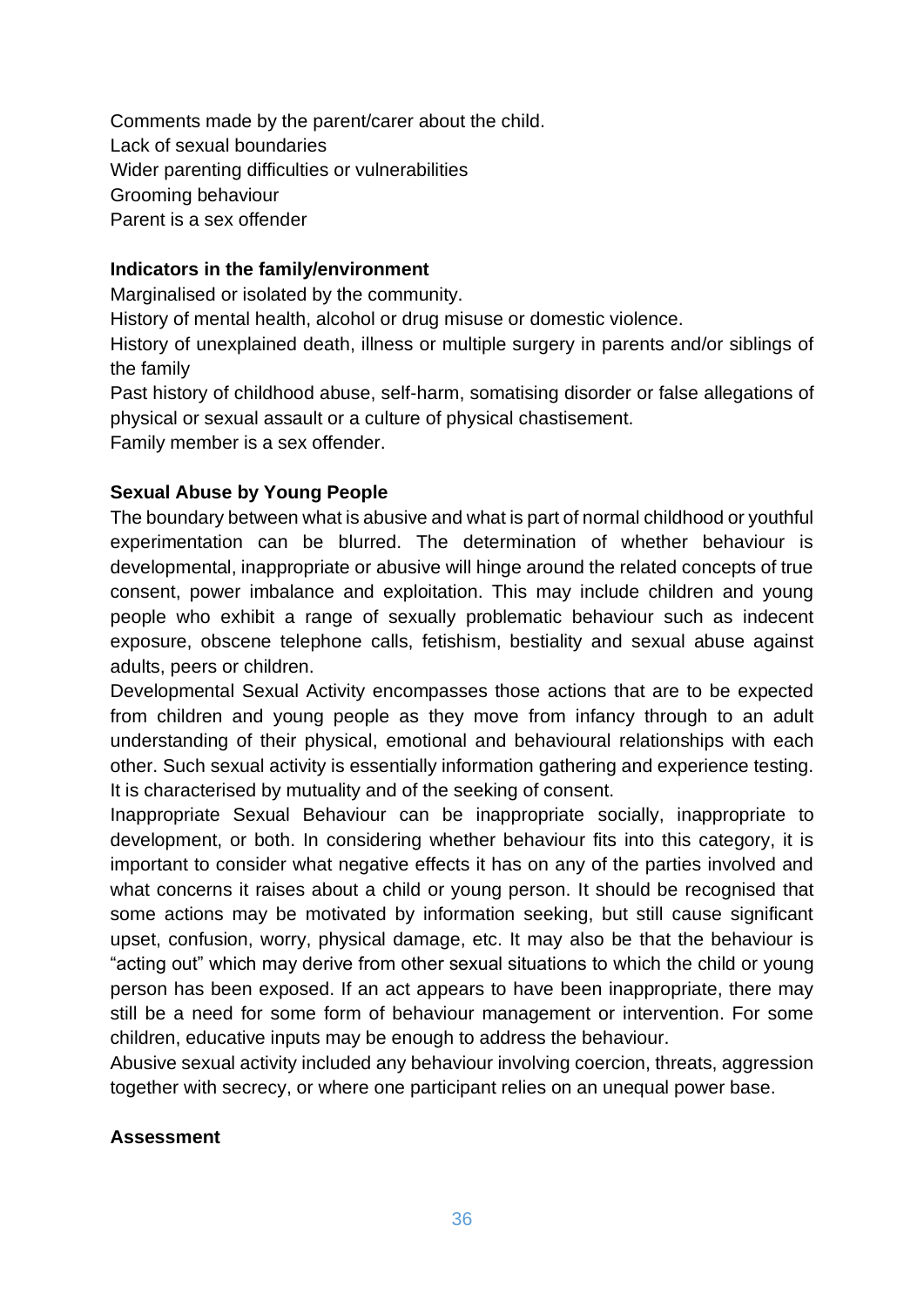Comments made by the parent/carer about the child. Lack of sexual boundaries Wider parenting difficulties or vulnerabilities Grooming behaviour Parent is a sex offender

#### **Indicators in the family/environment**

Marginalised or isolated by the community.

History of mental health, alcohol or drug misuse or domestic violence.

History of unexplained death, illness or multiple surgery in parents and/or siblings of the family

Past history of childhood abuse, self-harm, somatising disorder or false allegations of physical or sexual assault or a culture of physical chastisement. Family member is a sex offender.

#### **Sexual Abuse by Young People**

The boundary between what is abusive and what is part of normal childhood or youthful experimentation can be blurred. The determination of whether behaviour is developmental, inappropriate or abusive will hinge around the related concepts of true consent, power imbalance and exploitation. This may include children and young people who exhibit a range of sexually problematic behaviour such as indecent exposure, obscene telephone calls, fetishism, bestiality and sexual abuse against adults, peers or children.

Developmental Sexual Activity encompasses those actions that are to be expected from children and young people as they move from infancy through to an adult understanding of their physical, emotional and behavioural relationships with each other. Such sexual activity is essentially information gathering and experience testing. It is characterised by mutuality and of the seeking of consent.

Inappropriate Sexual Behaviour can be inappropriate socially, inappropriate to development, or both. In considering whether behaviour fits into this category, it is important to consider what negative effects it has on any of the parties involved and what concerns it raises about a child or young person. It should be recognised that some actions may be motivated by information seeking, but still cause significant upset, confusion, worry, physical damage, etc. It may also be that the behaviour is "acting out" which may derive from other sexual situations to which the child or young person has been exposed. If an act appears to have been inappropriate, there may still be a need for some form of behaviour management or intervention. For some children, educative inputs may be enough to address the behaviour.

Abusive sexual activity included any behaviour involving coercion, threats, aggression together with secrecy, or where one participant relies on an unequal power base.

#### **Assessment**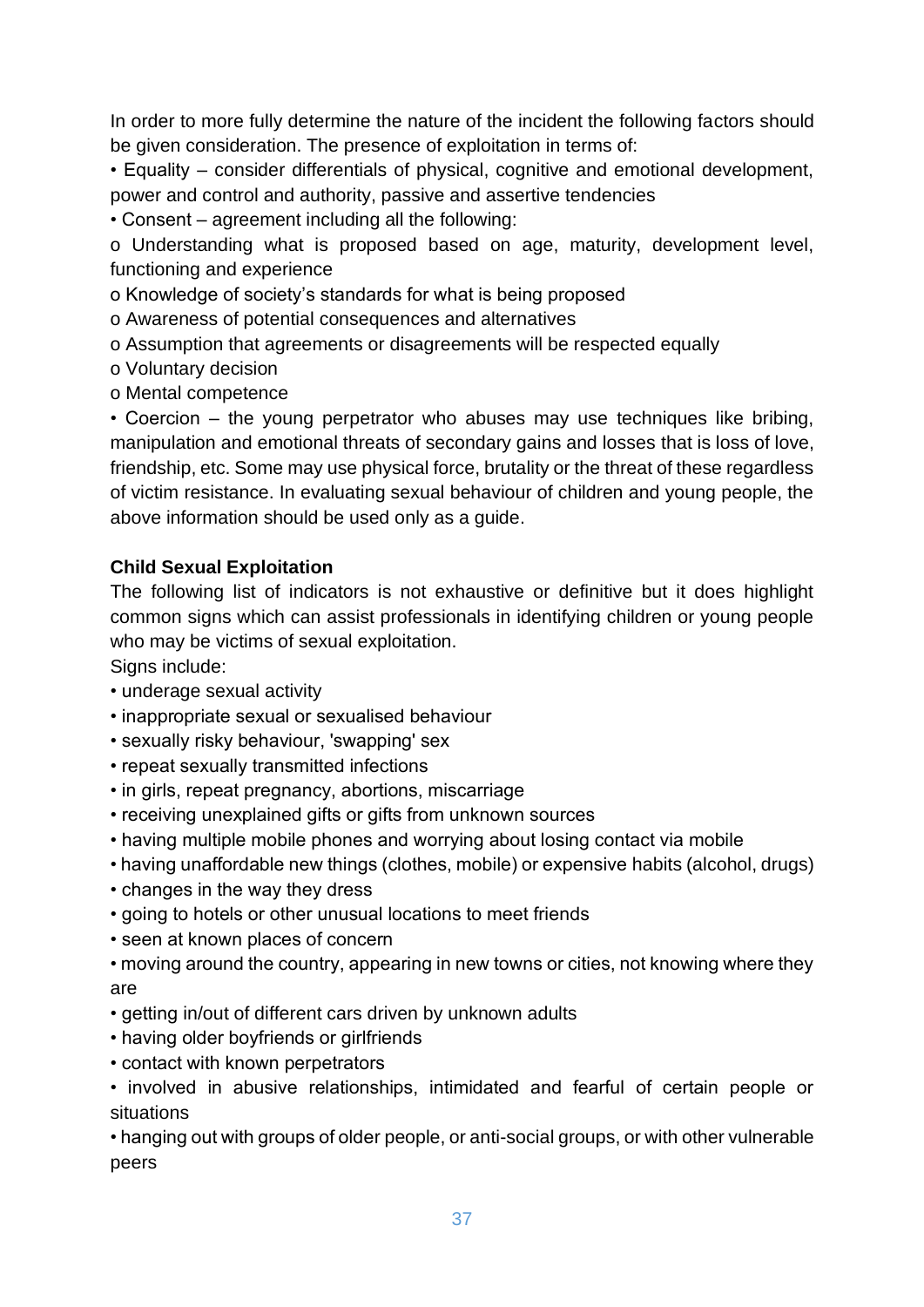In order to more fully determine the nature of the incident the following factors should be given consideration. The presence of exploitation in terms of:

• Equality – consider differentials of physical, cognitive and emotional development, power and control and authority, passive and assertive tendencies

• Consent – agreement including all the following:

o Understanding what is proposed based on age, maturity, development level, functioning and experience

o Knowledge of society's standards for what is being proposed

o Awareness of potential consequences and alternatives

o Assumption that agreements or disagreements will be respected equally

- o Voluntary decision
- o Mental competence

• Coercion – the young perpetrator who abuses may use techniques like bribing, manipulation and emotional threats of secondary gains and losses that is loss of love, friendship, etc. Some may use physical force, brutality or the threat of these regardless of victim resistance. In evaluating sexual behaviour of children and young people, the above information should be used only as a guide.

#### **Child Sexual Exploitation**

The following list of indicators is not exhaustive or definitive but it does highlight common signs which can assist professionals in identifying children or young people who may be victims of sexual exploitation.

Signs include:

- underage sexual activity
- inappropriate sexual or sexualised behaviour
- sexually risky behaviour, 'swapping' sex
- repeat sexually transmitted infections
- in girls, repeat pregnancy, abortions, miscarriage
- receiving unexplained gifts or gifts from unknown sources
- having multiple mobile phones and worrying about losing contact via mobile
- having unaffordable new things (clothes, mobile) or expensive habits (alcohol, drugs)
- changes in the way they dress
- going to hotels or other unusual locations to meet friends
- seen at known places of concern
- moving around the country, appearing in new towns or cities, not knowing where they are
- getting in/out of different cars driven by unknown adults
- having older boyfriends or girlfriends
- contact with known perpetrators
- involved in abusive relationships, intimidated and fearful of certain people or situations

• hanging out with groups of older people, or anti-social groups, or with other vulnerable peers